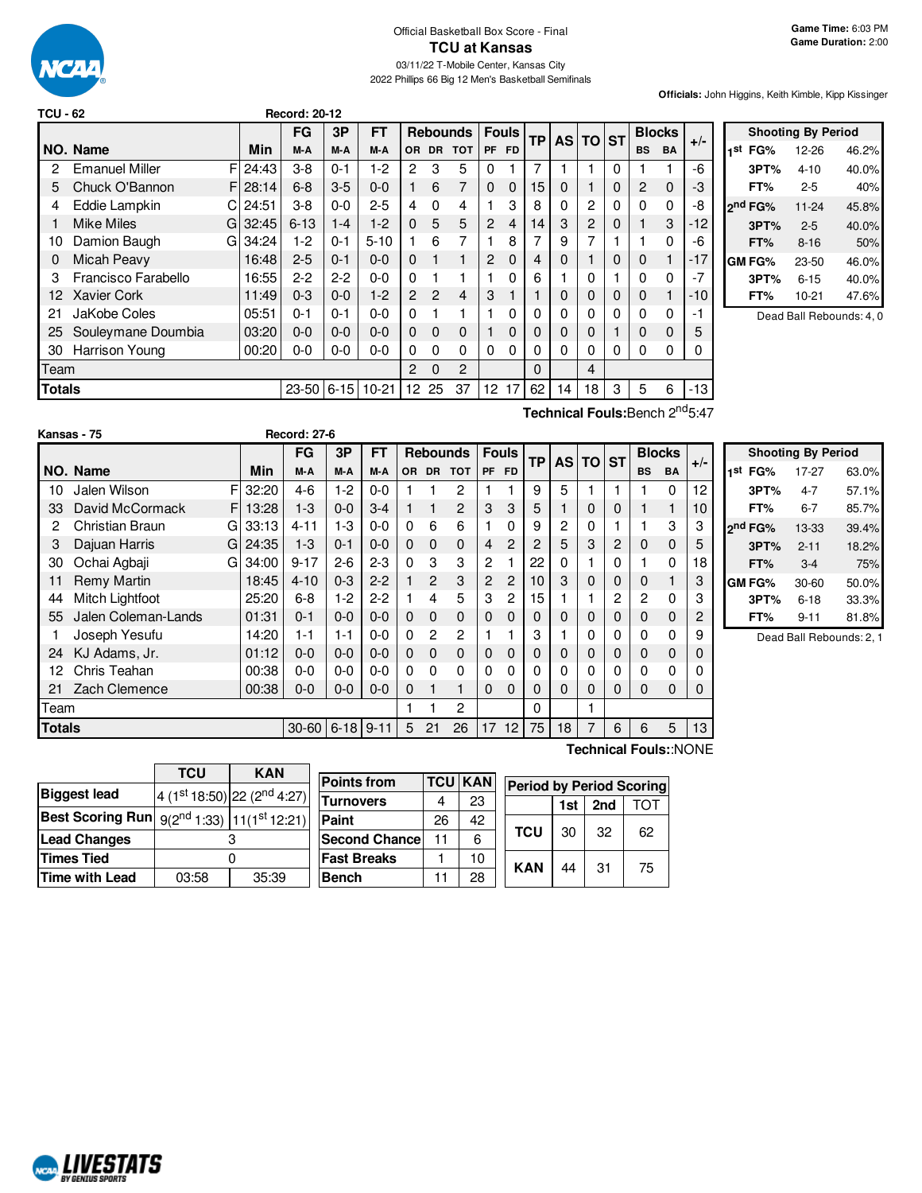

2022 Phillips 66 Big 12 Men's Basketball Semifinals

**Officials:** John Higgins, Keith Kimble, Kipp Kissinger

| <b>TCU - 62</b> |                       |    |         | <b>Record: 20-12</b> |         |           |                 |                 |          |                 |                |           |    |                |   |           |               |       |                 |
|-----------------|-----------------------|----|---------|----------------------|---------|-----------|-----------------|-----------------|----------|-----------------|----------------|-----------|----|----------------|---|-----------|---------------|-------|-----------------|
|                 |                       |    |         | <b>FG</b>            | 3P      | <b>FT</b> |                 | <b>Rebounds</b> |          |                 | <b>Fouls</b>   | <b>TP</b> |    | AS TO ST       |   |           | <b>Blocks</b> | $+/-$ |                 |
|                 | NO. Name              |    | Min     | M-A                  | M-A     | M-A       |                 | OR DR TOT       |          | <b>PF</b>       | <b>FD</b>      |           |    |                |   | <b>BS</b> | <b>BA</b>     |       | 1st             |
| 2               | <b>Emanuel Miller</b> | FI | 24:43   | $3 - 8$              | $0 - 1$ | 1-2       | 2               | 3               | 5        | $\mathbf{0}$    |                | 7         |    |                | 0 |           |               | -6    |                 |
| 5               | Chuck O'Bannon        |    | F128:14 | $6 - 8$              | $3-5$   | $0 - 0$   |                 | 6               |          | $\Omega$        | 0              | 15        | 0  |                | 0 | 2         | $\Omega$      | -3    |                 |
| 4               | Eddie Lampkin         | CI | 24:51   | $3 - 8$              | $0-0$   | $2 - 5$   | 4               | $\Omega$        | 4        |                 | 3              | 8         | 0  | $\overline{c}$ | 0 | $\Omega$  | $\Omega$      | -8    | <sub>2</sub> nd |
|                 | Mike Miles            | GI | 32:45   | $6 - 13$             | $1 - 4$ | $1-2$     | $\Omega$        | 5               | 5        | $\overline{2}$  | $\overline{4}$ | 14        | 3  | 2              | 0 |           | 3             | $-12$ |                 |
| 10              | Damion Baugh          | G  | 34:24   | $1-2$                | $0 - 1$ | $5 - 10$  |                 | 6               |          |                 | 8              |           | 9  | 7              |   |           | $\Omega$      | -6    |                 |
| 0               | Micah Peavy           |    | 16:48   | $2 - 5$              | $0 - 1$ | $0 - 0$   | $\Omega$        |                 |          | $\overline{2}$  | $\Omega$       | 4         | 0  |                | 0 | 0         |               | $-17$ | GM              |
| з               | Francisco Farabello   |    | 16:55   | $2 - 2$              | $2-2$   | $0 - 0$   | $\Omega$        |                 |          |                 | 0              | 6         |    | 0              |   | 0         | 0             | $-7$  |                 |
| 12.             | Xavier Cork           |    | 11:49   | $0 - 3$              | $0 - 0$ | $1-2$     | $\overline{2}$  | $\overline{2}$  | 4        | 3               |                |           | 0  | 0              | 0 | 0         |               | -10   |                 |
| 21              | JaKobe Coles          |    | 05:51   | $0 - 1$              | $0 - 1$ | $0 - 0$   | $\Omega$        |                 |          |                 | 0              | 0         | 0  | 0              | 0 | 0         | 0             | -1    |                 |
| 25              | Souleymane Doumbia    |    | 03:20   | $0-0$                | $0 - 0$ | $0 - 0$   | $\Omega$        | $\Omega$        | $\Omega$ | 1               | 0              | 0         | 0  | 0              |   | 0         | $\Omega$      | 5     |                 |
| 30              | Harrison Young        |    | 00:20   | $0-0$                | 0-0     | $0 - 0$   | $\Omega$        | $\Omega$        | $\Omega$ | $\mathbf{0}$    | 0              | 0         | 0  | $\Omega$       | 0 | $\Omega$  | 0             | 0     |                 |
| Team            |                       |    |         |                      |         |           | 2               | $\Omega$        | 2        |                 |                | $\Omega$  |    | 4              |   |           |               |       |                 |
| <b>Totals</b>   |                       |    |         | $23 - 50$ 6-15       |         | $10-21$   | 12 <sup>°</sup> | 25              | 37       | 12 <sup>2</sup> | 17             | 62        | 14 | 18             | 3 | 5         | 6             | $-13$ |                 |

**Shooting By Period st FG%** 12-26 46.2% **3PT%** 4-10 40.0% **FT%** 2-5 40% **nd FG%** 11-24 45.8% **3PT%** 2-5 40.0% **FT%** 8-16 50% **GM FG%** 23-50 46.0% **3PT%** 6-15 40.0% **FT%** 10-21 47.6%

Dead Ball Rebounds: 4, 0

| Kansas - 75<br>NO. Name | Min | <b>Record: 27-6</b><br>FG<br>M-A | 3Р<br>M-A | FT<br>M-A |   |   |         | Rebounds Fouls TP AS TO ST P'<br> OR DR TOT PF FD |    |    |   | <b>Blocks</b><br>BS<br>BA                   |        |
|-------------------------|-----|----------------------------------|-----------|-----------|---|---|---------|---------------------------------------------------|----|----|---|---------------------------------------------|--------|
|                         |     |                                  |           |           |   |   |         |                                                   |    |    |   | Technical Fouls: Bench 2 <sup>nd</sup> 5:47 |        |
| <b>Totals</b>           |     | 23-50 6-15 10-21 12 25 37        |           |           |   |   |         | $12 \t1762$                                       | 14 | 18 | 3 | 5                                           | $-13!$ |
| leam                    |     |                                  |           |           | 2 | 0 | $\cdot$ |                                                   |    | 4  |   |                                             |        |

|               | \alisas - <i>เง</i>    |            | 60000.Z        |         |           |           |                |                 |                |                 |           |          |   |             |           |               |       |                     |                           |     |
|---------------|------------------------|------------|----------------|---------|-----------|-----------|----------------|-----------------|----------------|-----------------|-----------|----------|---|-------------|-----------|---------------|-------|---------------------|---------------------------|-----|
|               |                        |            | <b>FG</b>      | 3P      | <b>FT</b> |           |                | <b>Rebounds</b> |                | <b>Fouls</b>    | <b>TP</b> | AS TO ST |   |             |           | <b>Blocks</b> |       |                     | <b>Shooting By Period</b> |     |
|               | NO. Name               | Min        | M-A            | M-A     | M-A       | <b>OR</b> | <b>DR</b>      | <b>TOT</b>      |                | PF FD           |           |          |   |             | <b>BS</b> | <b>BA</b>     | $+/-$ | 1st<br>FG%          | 17-27                     | 63  |
| 10            | Jalen Wilson           | F<br>32:20 | $4-6$          | 1-2     | $0 - 0$   |           |                | 2               |                |                 | 9         | 5        |   |             |           | 0             | 12    | 3PT%                | $4 - 7$                   | 57  |
| 33            | David McCormack        | 13:28<br>F | $1 - 3$        | $0-0$   | $3 - 4$   |           |                | 2               | 3              | 3               | 5         |          | 0 | 0           |           |               | 10    | FT%                 | $6 - 7$                   | 85  |
|               | <b>Christian Braun</b> | 33:13<br>G | $4 - 11$       | $1-3$   | $0-0$     | 0         | 6              | 6               |                |                 | 9         | 2        | 0 |             |           | 3             | 3     | 2 <sup>nd</sup> FG% | 13-33                     | 39. |
| 3             | Dajuan Harris          | 24:35<br>G | $1 - 3$        | $0 - 1$ | $0 - 0$   | $\Omega$  | $\Omega$       | $\mathbf{0}$    | 4              | 2               | 2         | 5        | 3 | 2           | 0         | 0             | 5     | 3PT%                | $2 - 11$                  | 18  |
| 30            | Ochai Agbaji           | 34:00<br>G | $9 - 17$       | $2-6$   | $2 - 3$   | 0         | 3              | 3               | 2              |                 | 22        |          |   | 0           |           | 0             | 18    | FT%                 | $3 - 4$                   | 7   |
|               | <b>Remy Martin</b>     | 18:45      | $4 - 10$       | $0 - 3$ | $2 - 2$   |           | $\overline{2}$ | 3               | $\overline{2}$ | 2               | 10        | 3        | 0 | $\mathbf 0$ | 0         |               | 3     | GM FG%              | 30-60                     | 50  |
| 44            | Mitch Lightfoot        | 25:20      | $6 - 8$        | 1-2     | $2 - 2$   |           | 4              | 5               | 3              | 2               | 15        |          |   | 2           | 2         | $\mathbf{0}$  | 3     | 3PT%                | $6 - 18$                  | 33. |
| 55            | Jalen Coleman-Lands    | 01:31      | $0 - 1$        | $0-0$   | $0 - 0$   | $\Omega$  | $\Omega$       | $\mathbf 0$     | 0              | $\Omega$        | 0         | 0        | 0 | $\Omega$    | 0         | 0             | 2     | FT%                 | $9 - 11$                  | 81. |
|               | Joseph Yesufu          | 14:20      | $1 - 1$        | 1-1     | $0 - 0$   | 0         | 2              | 2               |                |                 | 3         |          | 0 | 0           | 0         | 0             | 9     |                     | Dead Ball Rebounds        |     |
| 24            | KJ Adams, Jr.          | 01:12      | $0 - 0$        | $0-0$   | $0 - 0$   | $\Omega$  | 0              | $\mathbf{0}$    | $\mathbf{0}$   | $\Omega$        | 0         | $\Omega$ | 0 | $\Omega$    | 0         | $\mathbf 0$   | 0     |                     |                           |     |
| 12            | Chris Teahan           | 00:38      | $0-0$          | $0-0$   | $0 - 0$   | 0         | 0              | 0               | 0              | 0               | 0         |          | 0 | 0           | 0         | $\Omega$      | 0     |                     |                           |     |
| 21            | Zach Clemence          | 00:38      | $0-0$          | $0-0$   | $0 - 0$   | 0         |                |                 | 0              | $\Omega$        | 0         | $\Omega$ | 0 | 0           | 0         | 0             | 0     |                     |                           |     |
| Team          |                        |            |                |         |           |           |                | 2               |                |                 | 0         |          |   |             |           |               |       |                     |                           |     |
| <b>Totals</b> |                        |            | $30 - 60$ 6-18 |         | $9 - 11$  | 5         | 21             | 26              | 17             | 12 <sub>1</sub> | 75        | 18       |   | 6           | 6         | 5             | 13    |                     |                           |     |

**st FG%** 17-27 63.0% **3PT%** 4-7 57.1% **FT%** 6-7 85.7% **nd FG%** 13-33 39.4% **3PT%** 2-11 18.2% **FT%** 3-4 75% **GM FG%** 30-60 50.0% **3PT%** 6-18 33.3% **FT%** 9-11 81.8%

ounds: 2, 1

**Technical Fouls:**:NONE

|                                                                    | <b>TCU</b> | <b>KAN</b>                              |  |  |  |
|--------------------------------------------------------------------|------------|-----------------------------------------|--|--|--|
| <b>Biggest lead</b>                                                |            | 4 (1st 18:50) 22 (2 <sup>nd</sup> 4:27) |  |  |  |
| <b>Best Scoring Run</b> $9(2^{nd} 1:33)$ 11(1 <sup>st</sup> 12:21) |            |                                         |  |  |  |
| Lead Changes                                                       |            |                                         |  |  |  |
| <b>Times Tied</b>                                                  |            |                                         |  |  |  |
| <b>Time with Lead</b>                                              | 03:58      | 35:39                                   |  |  |  |

| <b>Points from</b>    |    | <b>TCU KAN</b> | <b>Period by Period Scoring</b> |     |     |     |  |  |  |
|-----------------------|----|----------------|---------------------------------|-----|-----|-----|--|--|--|
| Turnovers             |    | 23             |                                 | 1st | 2nd | TOT |  |  |  |
| Paint                 | 26 | 42             |                                 |     |     |     |  |  |  |
| <b>Second Chancel</b> | 11 | 6              | <b>TCU</b>                      | 30  | 32  | 62  |  |  |  |
| <b>Fast Breaks</b>    |    | 10             | <b>KAN</b>                      | 44  | 31  | 75  |  |  |  |
| <b>Bench</b>          |    | 28             |                                 |     |     |     |  |  |  |

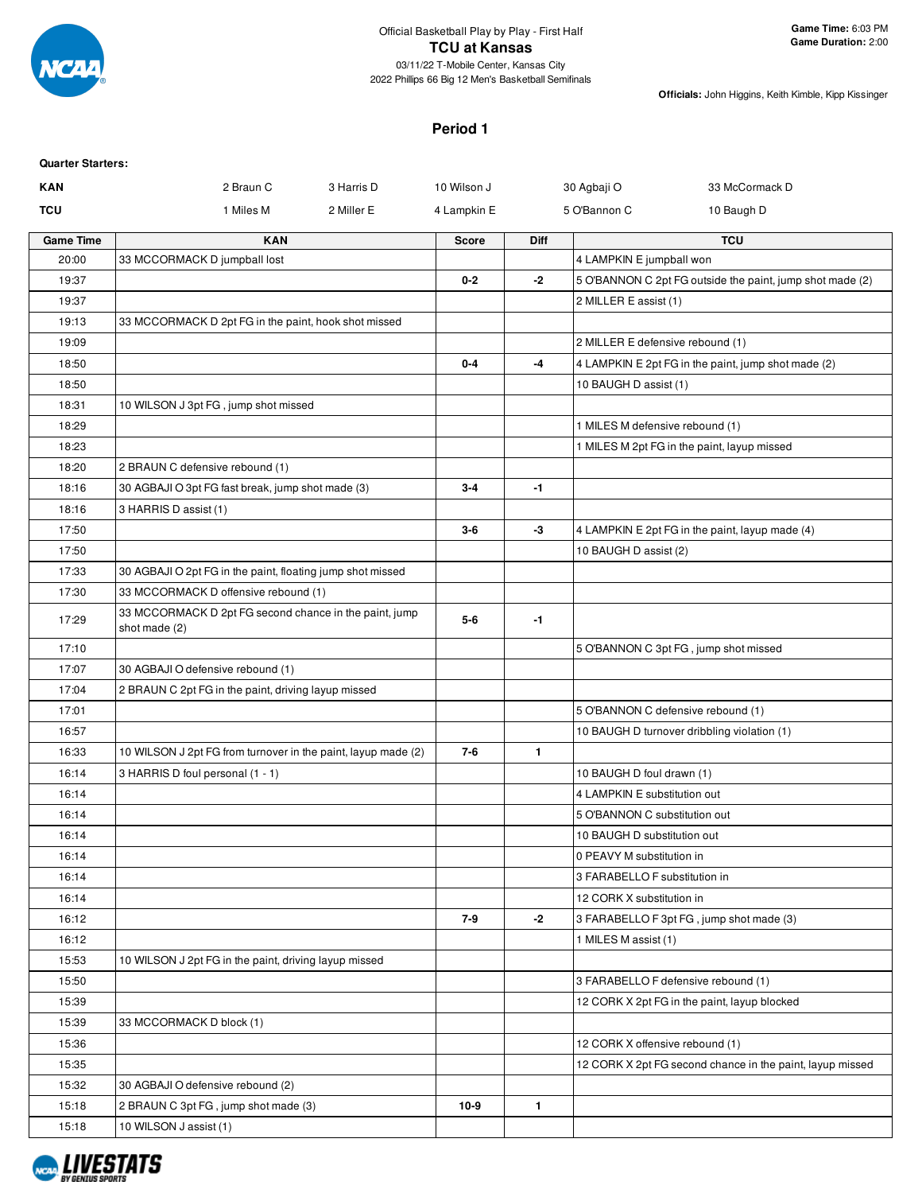

**Officials:** John Higgins, Keith Kimble, Kipp Kissinger

#### **Period 1**

| <b>Quarter Starters:</b> |                                                                         |                           |              |              |                                       |                                                           |
|--------------------------|-------------------------------------------------------------------------|---------------------------|--------------|--------------|---------------------------------------|-----------------------------------------------------------|
| <b>KAN</b>               | 2 Braun C                                                               | 3 Harris D<br>10 Wilson J |              |              | 30 Agbaji O                           | 33 McCormack D                                            |
| <b>TCU</b>               | 1 Miles M                                                               | 2 Miller E                | 4 Lampkin E  |              | 5 O'Bannon C                          | 10 Baugh D                                                |
| <b>Game Time</b>         | <b>KAN</b>                                                              |                           | <b>Score</b> | <b>Diff</b>  |                                       | <b>TCU</b>                                                |
| 20:00                    | 33 MCCORMACK D jumpball lost                                            |                           |              |              | 4 LAMPKIN E jumpball won              |                                                           |
| 19:37                    |                                                                         |                           | $0 - 2$      | -2           |                                       | 5 O'BANNON C 2pt FG outside the paint, jump shot made (2) |
| 19:37                    |                                                                         |                           |              |              | 2 MILLER E assist (1)                 |                                                           |
| 19:13                    | 33 MCCORMACK D 2pt FG in the paint, hook shot missed                    |                           |              |              |                                       |                                                           |
| 19:09                    |                                                                         |                           |              |              | 2 MILLER E defensive rebound (1)      |                                                           |
| 18:50                    |                                                                         |                           | $0-4$        | -4           |                                       | 4 LAMPKIN E 2pt FG in the paint, jump shot made (2)       |
| 18:50                    |                                                                         |                           |              |              | 10 BAUGH D assist (1)                 |                                                           |
| 18:31                    | 10 WILSON J 3pt FG, jump shot missed                                    |                           |              |              |                                       |                                                           |
| 18:29                    |                                                                         |                           |              |              | 1 MILES M defensive rebound (1)       |                                                           |
| 18:23                    |                                                                         |                           |              |              |                                       | 1 MILES M 2pt FG in the paint, layup missed               |
| 18:20                    | 2 BRAUN C defensive rebound (1)                                         |                           |              |              |                                       |                                                           |
| 18:16                    | 30 AGBAJI O 3pt FG fast break, jump shot made (3)                       |                           | $3-4$        | $-1$         |                                       |                                                           |
| 18:16                    | 3 HARRIS D assist (1)                                                   |                           |              |              |                                       |                                                           |
| 17:50                    |                                                                         |                           | $3-6$        | -3           |                                       | 4 LAMPKIN E 2pt FG in the paint, layup made (4)           |
| 17:50                    |                                                                         |                           |              |              | 10 BAUGH D assist (2)                 |                                                           |
| 17:33                    | 30 AGBAJI O 2pt FG in the paint, floating jump shot missed              |                           |              |              |                                       |                                                           |
| 17:30                    | 33 MCCORMACK D offensive rebound (1)                                    |                           |              |              |                                       |                                                           |
| 17:29                    | 33 MCCORMACK D 2pt FG second chance in the paint, jump<br>shot made (2) |                           | $5-6$        | $-1$         |                                       |                                                           |
| 17:10                    |                                                                         |                           |              |              | 5 O'BANNON C 3pt FG, jump shot missed |                                                           |
| 17:07                    | 30 AGBAJI O defensive rebound (1)                                       |                           |              |              |                                       |                                                           |
| 17:04                    | 2 BRAUN C 2pt FG in the paint, driving layup missed                     |                           |              |              |                                       |                                                           |
| 17:01                    |                                                                         |                           |              |              | 5 O'BANNON C defensive rebound (1)    |                                                           |
| 16:57                    |                                                                         |                           |              |              |                                       | 10 BAUGH D turnover dribbling violation (1)               |
| 16:33                    | 10 WILSON J 2pt FG from turnover in the paint, layup made (2)           |                           | $7-6$        | $\mathbf{1}$ |                                       |                                                           |
| 16:14                    | 3 HARRIS D foul personal (1 - 1)                                        |                           |              |              | 10 BAUGH D foul drawn (1)             |                                                           |
| 16:14                    |                                                                         |                           |              |              | 4 LAMPKIN E substitution out          |                                                           |
| 16:14                    |                                                                         |                           |              |              | 5 O'BANNON C substitution out         |                                                           |
| 16:14                    |                                                                         |                           |              |              | 10 BAUGH D substitution out           |                                                           |
| 16:14                    |                                                                         |                           |              |              | 0 PEAVY M substitution in             |                                                           |
| 16:14                    |                                                                         |                           |              |              | 3 FARABELLO F substitution in         |                                                           |
| 16:14                    |                                                                         |                           |              |              | 12 CORK X substitution in             |                                                           |
| 16:12                    |                                                                         |                           | $7-9$        | -2           |                                       | 3 FARABELLO F 3pt FG, jump shot made (3)                  |
| 16:12                    |                                                                         |                           |              |              | 1 MILES M assist (1)                  |                                                           |
| 15:53                    | 10 WILSON J 2pt FG in the paint, driving layup missed                   |                           |              |              |                                       |                                                           |
| 15:50                    |                                                                         |                           |              |              | 3 FARABELLO F defensive rebound (1)   |                                                           |
| 15:39                    |                                                                         |                           |              |              |                                       | 12 CORK X 2pt FG in the paint, layup blocked              |
| 15:39                    | 33 MCCORMACK D block (1)                                                |                           |              |              |                                       |                                                           |
| 15:36                    |                                                                         |                           |              |              | 12 CORK X offensive rebound (1)       |                                                           |
| 15:35                    |                                                                         |                           |              |              |                                       | 12 CORK X 2pt FG second chance in the paint, layup missed |
| 15:32                    | 30 AGBAJI O defensive rebound (2)                                       |                           |              |              |                                       |                                                           |
| 15:18                    | 2 BRAUN C 3pt FG, jump shot made (3)                                    |                           | $10-9$       | $\mathbf{1}$ |                                       |                                                           |
| 15:18                    | 10 WILSON J assist (1)                                                  |                           |              |              |                                       |                                                           |
|                          |                                                                         |                           |              |              |                                       |                                                           |

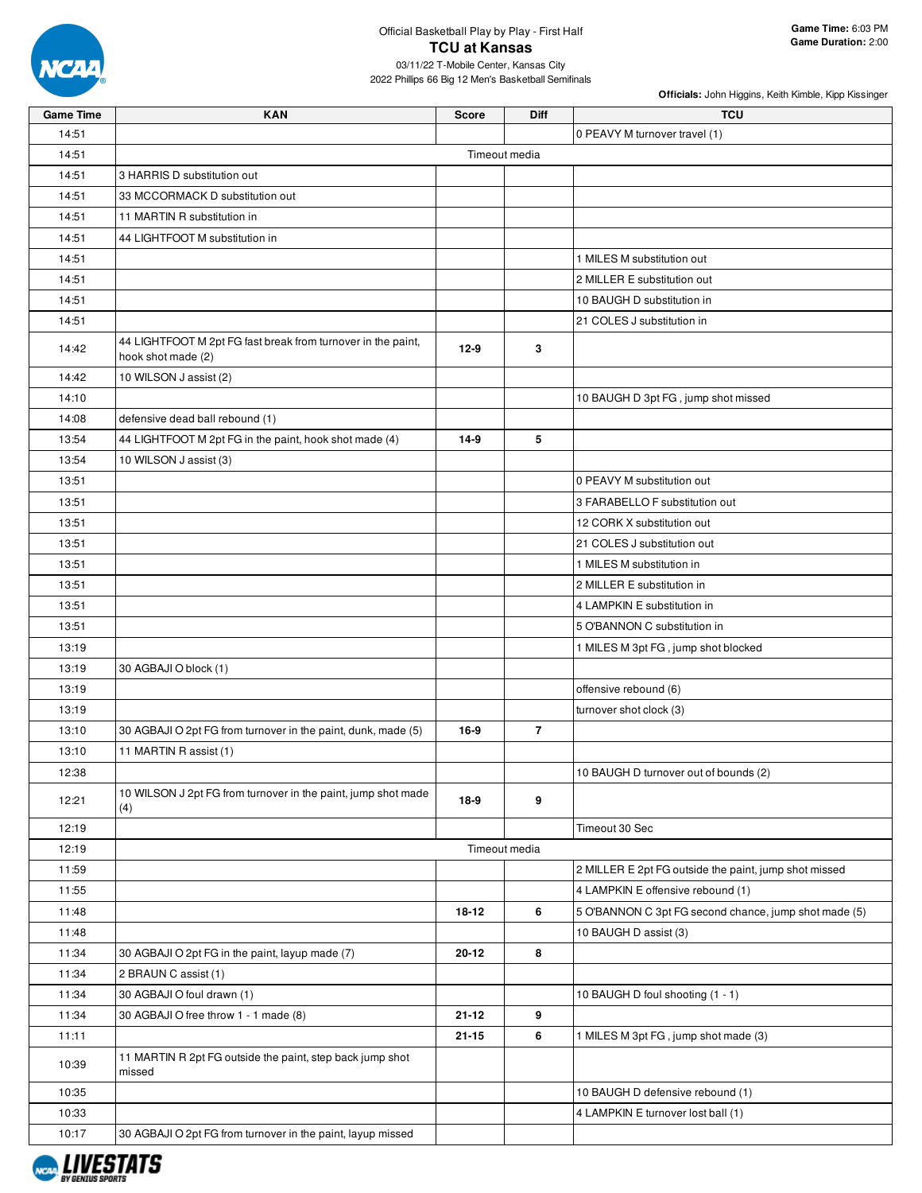

## Official Basketball Play by Play - First Half **TCU at Kansas**

03/11/22 T-Mobile Center, Kansas City 2022 Phillips 66 Big 12 Men's Basketball Semifinals

| <b>Game Time</b> | <b>KAN</b>                                                                         | <b>Score</b> | Diff           | <b>TCU</b>                                            |
|------------------|------------------------------------------------------------------------------------|--------------|----------------|-------------------------------------------------------|
| 14:51            |                                                                                    |              |                | 0 PEAVY M turnover travel (1)                         |
| 14:51            |                                                                                    |              | Timeout media  |                                                       |
| 14:51            | 3 HARRIS D substitution out                                                        |              |                |                                                       |
| 14:51            | 33 MCCORMACK D substitution out                                                    |              |                |                                                       |
| 14:51            | 11 MARTIN R substitution in                                                        |              |                |                                                       |
|                  |                                                                                    |              |                |                                                       |
| 14:51            | 44 LIGHTFOOT M substitution in                                                     |              |                |                                                       |
| 14:51            |                                                                                    |              |                | 1 MILES M substitution out                            |
| 14:51            |                                                                                    |              |                | 2 MILLER E substitution out                           |
| 14:51            |                                                                                    |              |                | 10 BAUGH D substitution in                            |
| 14:51            |                                                                                    |              |                | 21 COLES J substitution in                            |
| 14:42            | 44 LIGHTFOOT M 2pt FG fast break from turnover in the paint,<br>hook shot made (2) | $12-9$       | 3              |                                                       |
| 14:42            | 10 WILSON J assist (2)                                                             |              |                |                                                       |
| 14:10            |                                                                                    |              |                | 10 BAUGH D 3pt FG, jump shot missed                   |
| 14:08            | defensive dead ball rebound (1)                                                    |              |                |                                                       |
| 13:54            | 44 LIGHTFOOT M 2pt FG in the paint, hook shot made (4)                             | $14-9$       | 5              |                                                       |
| 13:54            | 10 WILSON J assist (3)                                                             |              |                |                                                       |
| 13:51            |                                                                                    |              |                | 0 PEAVY M substitution out                            |
| 13:51            |                                                                                    |              |                | 3 FARABELLO F substitution out                        |
| 13:51            |                                                                                    |              |                | 12 CORK X substitution out                            |
| 13:51            |                                                                                    |              |                | 21 COLES J substitution out                           |
| 13:51            |                                                                                    |              |                | 1 MILES M substitution in                             |
| 13:51            |                                                                                    |              |                | 2 MILLER E substitution in                            |
| 13:51            |                                                                                    |              |                | 4 LAMPKIN E substitution in                           |
| 13:51            |                                                                                    |              |                | 5 O'BANNON C substitution in                          |
| 13:19            |                                                                                    |              |                | 1 MILES M 3pt FG, jump shot blocked                   |
| 13:19            | 30 AGBAJI O block (1)                                                              |              |                |                                                       |
| 13:19            |                                                                                    |              |                | offensive rebound (6)                                 |
| 13:19            |                                                                                    |              |                | turnover shot clock (3)                               |
| 13:10            | 30 AGBAJI O 2pt FG from turnover in the paint, dunk, made (5)                      | 16-9         | $\overline{7}$ |                                                       |
| 13:10            | 11 MARTIN R assist (1)                                                             |              |                |                                                       |
| 12:38            |                                                                                    |              |                | 10 BAUGH D turnover out of bounds (2)                 |
| 12:21            | 10 WILSON J 2pt FG from turnover in the paint, jump shot made<br>(4)               | 18-9         | 9              |                                                       |
| 12:19            |                                                                                    |              |                | Timeout 30 Sec                                        |
| 12:19            |                                                                                    |              | Timeout media  |                                                       |
| 11:59            |                                                                                    |              |                | 2 MILLER E 2pt FG outside the paint, jump shot missed |
| 11:55            |                                                                                    |              |                | 4 LAMPKIN E offensive rebound (1)                     |
| 11:48            |                                                                                    | 18-12        | 6              | 5 O'BANNON C 3pt FG second chance, jump shot made (5) |
| 11:48            |                                                                                    |              |                | 10 BAUGH D assist (3)                                 |
| 11:34            | 30 AGBAJI O 2pt FG in the paint, layup made (7)                                    | 20-12        | 8              |                                                       |
| 11:34            | 2 BRAUN C assist (1)                                                               |              |                |                                                       |
| 11:34            | 30 AGBAJI O foul drawn (1)                                                         |              |                | 10 BAUGH D foul shooting (1 - 1)                      |
| 11:34            | 30 AGBAJI O free throw 1 - 1 made (8)                                              | $21 - 12$    | 9              |                                                       |
| 11:11            |                                                                                    | $21 - 15$    | 6              | 1 MILES M 3pt FG, jump shot made (3)                  |
| 10:39            | 11 MARTIN R 2pt FG outside the paint, step back jump shot<br>missed                |              |                |                                                       |
| 10:35            |                                                                                    |              |                | 10 BAUGH D defensive rebound (1)                      |
| 10:33            |                                                                                    |              |                | 4 LAMPKIN E turnover lost ball (1)                    |
| 10:17            | 30 AGBAJI O 2pt FG from turnover in the paint, layup missed                        |              |                |                                                       |

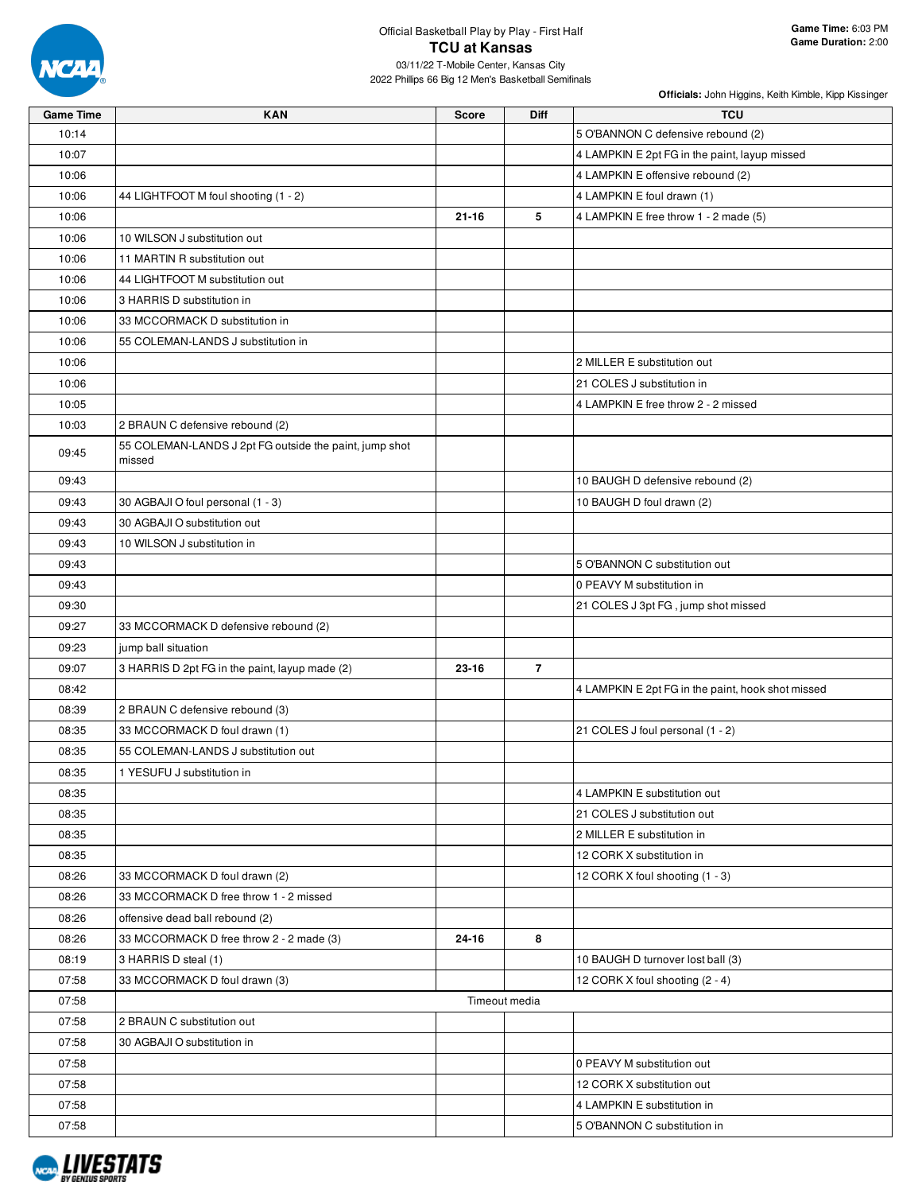

| <b>Game Time</b> | <b>KAN</b>                                                       | <b>Score</b> | Diff           | <b>TCU</b>                                        |
|------------------|------------------------------------------------------------------|--------------|----------------|---------------------------------------------------|
| 10:14            |                                                                  |              |                | 5 O'BANNON C defensive rebound (2)                |
| 10:07            |                                                                  |              |                | 4 LAMPKIN E 2pt FG in the paint, layup missed     |
| 10:06            |                                                                  |              |                | 4 LAMPKIN E offensive rebound (2)                 |
| 10:06            | 44 LIGHTFOOT M foul shooting (1 - 2)                             |              |                | 4 LAMPKIN E foul drawn (1)                        |
| 10:06            |                                                                  | $21 - 16$    | 5              | 4 LAMPKIN E free throw 1 - 2 made (5)             |
| 10:06            | 10 WILSON J substitution out                                     |              |                |                                                   |
| 10:06            | 11 MARTIN R substitution out                                     |              |                |                                                   |
| 10:06            | 44 LIGHTFOOT M substitution out                                  |              |                |                                                   |
| 10:06            | 3 HARRIS D substitution in                                       |              |                |                                                   |
| 10:06            | 33 MCCORMACK D substitution in                                   |              |                |                                                   |
| 10:06            | 55 COLEMAN-LANDS J substitution in                               |              |                |                                                   |
| 10:06            |                                                                  |              |                | 2 MILLER E substitution out                       |
| 10:06            |                                                                  |              |                | 21 COLES J substitution in                        |
| 10:05            |                                                                  |              |                | 4 LAMPKIN E free throw 2 - 2 missed               |
| 10:03            | 2 BRAUN C defensive rebound (2)                                  |              |                |                                                   |
| 09:45            | 55 COLEMAN-LANDS J 2pt FG outside the paint, jump shot<br>missed |              |                |                                                   |
| 09:43            |                                                                  |              |                | 10 BAUGH D defensive rebound (2)                  |
| 09:43            | 30 AGBAJI O foul personal (1 - 3)                                |              |                | 10 BAUGH D foul drawn (2)                         |
| 09:43            | 30 AGBAJI O substitution out                                     |              |                |                                                   |
| 09:43            | 10 WILSON J substitution in                                      |              |                |                                                   |
| 09:43            |                                                                  |              |                | 5 O'BANNON C substitution out                     |
| 09:43            |                                                                  |              |                | 0 PEAVY M substitution in                         |
| 09:30            |                                                                  |              |                | 21 COLES J 3pt FG, jump shot missed               |
| 09:27            | 33 MCCORMACK D defensive rebound (2)                             |              |                |                                                   |
| 09:23            | jump ball situation                                              |              |                |                                                   |
| 09:07            | 3 HARRIS D 2pt FG in the paint, layup made (2)                   | 23-16        | $\overline{7}$ |                                                   |
| 08:42            |                                                                  |              |                | 4 LAMPKIN E 2pt FG in the paint, hook shot missed |
| 08:39            | 2 BRAUN C defensive rebound (3)                                  |              |                |                                                   |
| 08:35            | 33 MCCORMACK D foul drawn (1)                                    |              |                | 21 COLES J foul personal (1 - 2)                  |
| 08:35            | 55 COLEMAN-LANDS J substitution out                              |              |                |                                                   |
| 08:35            | 1 YESUFU J substitution in                                       |              |                |                                                   |
| 08:35            |                                                                  |              |                | 4 LAMPKIN E substitution out                      |
| 08:35            |                                                                  |              |                | 21 COLES J substitution out                       |
| 08:35            |                                                                  |              |                | 2 MILLER E substitution in                        |
| 08:35            |                                                                  |              |                | 12 CORK X substitution in                         |
| 08:26            | 33 MCCORMACK D foul drawn (2)                                    |              |                | 12 CORK X foul shooting (1 - 3)                   |
| 08:26            | 33 MCCORMACK D free throw 1 - 2 missed                           |              |                |                                                   |
| 08:26            | offensive dead ball rebound (2)                                  |              |                |                                                   |
| 08:26            | 33 MCCORMACK D free throw 2 - 2 made (3)                         | 24-16        | 8              |                                                   |
| 08:19            | 3 HARRIS D steal (1)                                             |              |                | 10 BAUGH D turnover lost ball (3)                 |
| 07:58            | 33 MCCORMACK D foul drawn (3)                                    |              |                | 12 CORK X foul shooting (2 - 4)                   |
| 07:58            |                                                                  |              | Timeout media  |                                                   |
| 07:58            | 2 BRAUN C substitution out                                       |              |                |                                                   |
| 07:58            | 30 AGBAJI O substitution in                                      |              |                |                                                   |
| 07:58            |                                                                  |              |                | 0 PEAVY M substitution out                        |
| 07:58            |                                                                  |              |                | 12 CORK X substitution out                        |
| 07:58            |                                                                  |              |                | 4 LAMPKIN E substitution in                       |
| 07:58            |                                                                  |              |                | 5 O'BANNON C substitution in                      |

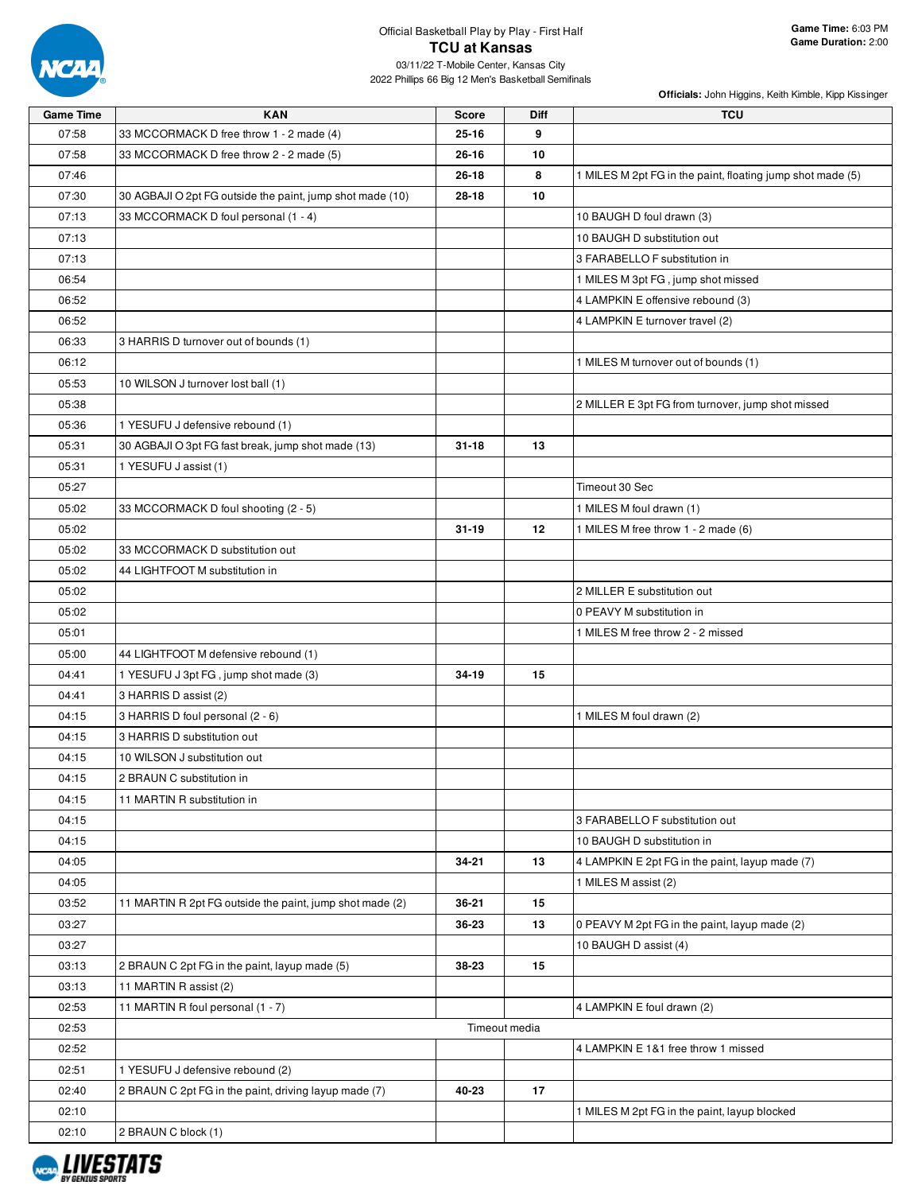

## Official Basketball Play by Play - First Half **TCU at Kansas**

03/11/22 T-Mobile Center, Kansas City 2022 Phillips 66 Big 12 Men's Basketball Semifinals

| <b>Game Time</b> | <b>KAN</b>                                                | <b>Score</b> | Diff          | <b>TCU</b>                                                 |
|------------------|-----------------------------------------------------------|--------------|---------------|------------------------------------------------------------|
| 07:58            | 33 MCCORMACK D free throw 1 - 2 made (4)                  | $25 - 16$    | 9             |                                                            |
| 07:58            | 33 MCCORMACK D free throw 2 - 2 made (5)                  | $26 - 16$    | 10            |                                                            |
| 07:46            |                                                           | $26 - 18$    | 8             | 1 MILES M 2pt FG in the paint, floating jump shot made (5) |
| 07:30            | 30 AGBAJI O 2pt FG outside the paint, jump shot made (10) | 28-18        | 10            |                                                            |
| 07:13            | 33 MCCORMACK D foul personal (1 - 4)                      |              |               | 10 BAUGH D foul drawn (3)                                  |
| 07:13            |                                                           |              |               | 10 BAUGH D substitution out                                |
| 07:13            |                                                           |              |               | 3 FARABELLO F substitution in                              |
| 06:54            |                                                           |              |               | 1 MILES M 3pt FG, jump shot missed                         |
| 06:52            |                                                           |              |               | 4 LAMPKIN E offensive rebound (3)                          |
| 06:52            |                                                           |              |               | 4 LAMPKIN E turnover travel (2)                            |
| 06:33            | 3 HARRIS D turnover out of bounds (1)                     |              |               |                                                            |
| 06:12            |                                                           |              |               | 1 MILES M turnover out of bounds (1)                       |
| 05:53            | 10 WILSON J turnover lost ball (1)                        |              |               |                                                            |
| 05:38            |                                                           |              |               | 2 MILLER E 3pt FG from turnover, jump shot missed          |
| 05:36            | 1 YESUFU J defensive rebound (1)                          |              |               |                                                            |
| 05:31            | 30 AGBAJI O 3pt FG fast break, jump shot made (13)        | $31 - 18$    | 13            |                                                            |
| 05:31            | 1 YESUFU J assist (1)                                     |              |               |                                                            |
| 05:27            |                                                           |              |               | Timeout 30 Sec                                             |
| 05:02            | 33 MCCORMACK D foul shooting (2 - 5)                      |              |               | 1 MILES M foul drawn (1)                                   |
| 05:02            |                                                           | $31 - 19$    | 12            | 1 MILES M free throw 1 - 2 made (6)                        |
| 05:02            | 33 MCCORMACK D substitution out                           |              |               |                                                            |
| 05:02            | 44 LIGHTFOOT M substitution in                            |              |               |                                                            |
| 05:02            |                                                           |              |               | 2 MILLER E substitution out                                |
| 05:02            |                                                           |              |               | 0 PEAVY M substitution in                                  |
| 05:01            |                                                           |              |               | 1 MILES M free throw 2 - 2 missed                          |
| 05:00            | 44 LIGHTFOOT M defensive rebound (1)                      |              |               |                                                            |
| 04:41            | 1 YESUFU J 3pt FG, jump shot made (3)                     | 34-19        | 15            |                                                            |
| 04:41            | 3 HARRIS D assist (2)                                     |              |               |                                                            |
| 04:15            | 3 HARRIS D foul personal (2 - 6)                          |              |               | 1 MILES M foul drawn (2)                                   |
| 04:15            | 3 HARRIS D substitution out                               |              |               |                                                            |
| 04:15            | 10 WILSON J substitution out                              |              |               |                                                            |
| 04:15            | 2 BRAUN C substitution in                                 |              |               |                                                            |
| 04:15            | 11 MARTIN R substitution in                               |              |               |                                                            |
| 04:15            |                                                           |              |               | 3 FARABELLO F substitution out                             |
| 04:15            |                                                           |              |               | 10 BAUGH D substitution in                                 |
| 04:05            |                                                           | 34-21        | 13            | 4 LAMPKIN E 2pt FG in the paint, layup made (7)            |
| 04:05            |                                                           |              |               | 1 MILES M assist (2)                                       |
| 03:52            | 11 MARTIN R 2pt FG outside the paint, jump shot made (2)  | 36-21        | 15            |                                                            |
| 03:27            |                                                           | 36-23        | 13            | 0 PEAVY M 2pt FG in the paint, layup made (2)              |
| 03:27            |                                                           |              |               | 10 BAUGH D assist (4)                                      |
| 03:13            | 2 BRAUN C 2pt FG in the paint, layup made (5)             | 38-23        | 15            |                                                            |
| 03:13            | 11 MARTIN R assist (2)                                    |              |               |                                                            |
| 02:53            | 11 MARTIN R foul personal (1 - 7)                         |              |               | 4 LAMPKIN E foul drawn (2)                                 |
| 02:53            |                                                           |              | Timeout media |                                                            |
| 02:52            |                                                           |              |               | 4 LAMPKIN E 1&1 free throw 1 missed                        |
| 02:51            | 1 YESUFU J defensive rebound (2)                          |              |               |                                                            |
| 02:40            | 2 BRAUN C 2pt FG in the paint, driving layup made (7)     | 40-23        | 17            |                                                            |
| 02:10            |                                                           |              |               | 1 MILES M 2pt FG in the paint, layup blocked               |
| 02:10            | 2 BRAUN C block (1)                                       |              |               |                                                            |

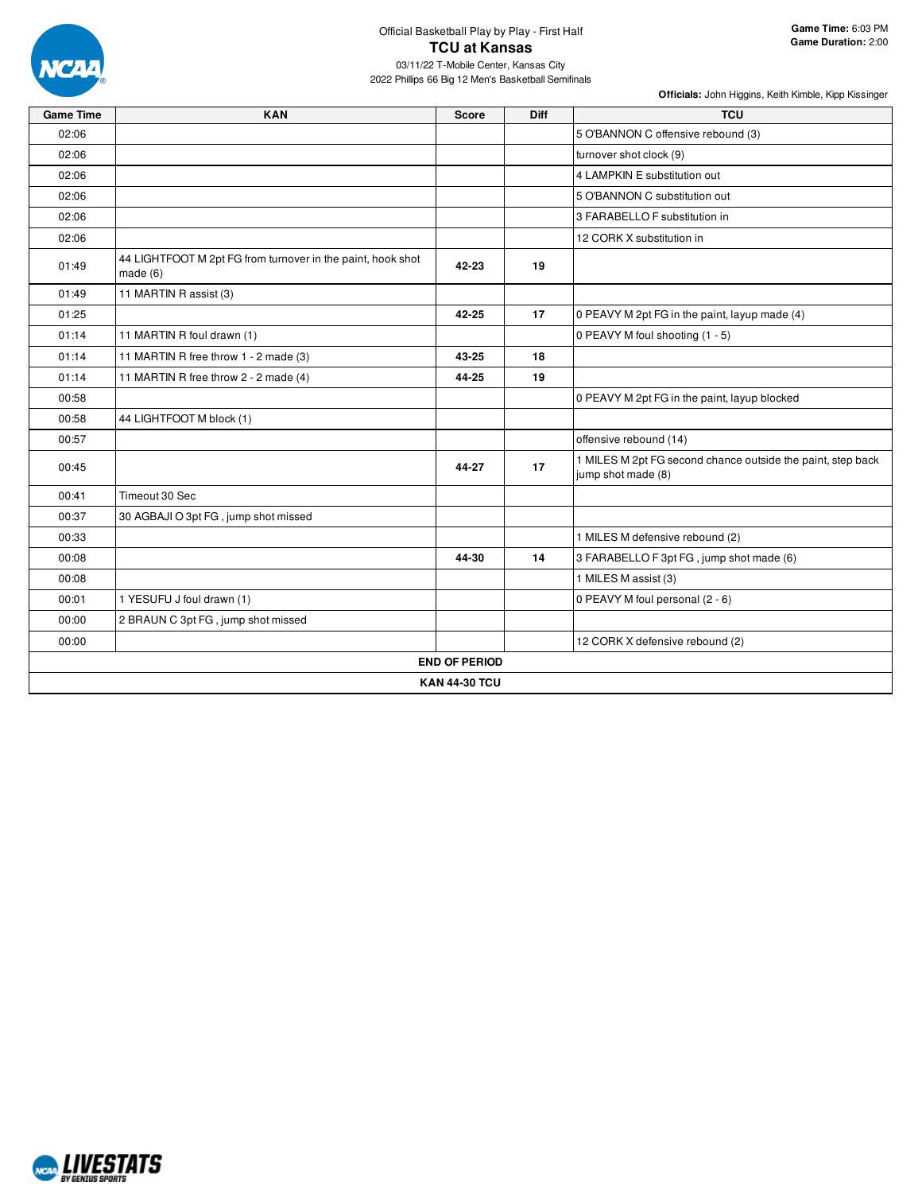

| <b>Game Time</b> | <b>KAN</b>                                                                | <b>Score</b>         | <b>Diff</b> | <b>TCU</b>                                                                        |
|------------------|---------------------------------------------------------------------------|----------------------|-------------|-----------------------------------------------------------------------------------|
| 02:06            |                                                                           |                      |             | 5 O'BANNON C offensive rebound (3)                                                |
| 02:06            |                                                                           |                      |             | turnover shot clock (9)                                                           |
| 02:06            |                                                                           |                      |             | 4 LAMPKIN E substitution out                                                      |
| 02:06            |                                                                           |                      |             | 5 O'BANNON C substitution out                                                     |
| 02:06            |                                                                           |                      |             | 3 FARABELLO F substitution in                                                     |
| 02:06            |                                                                           |                      |             | 12 CORK X substitution in                                                         |
| 01:49            | 44 LIGHTFOOT M 2pt FG from turnover in the paint, hook shot<br>made $(6)$ | 42-23                | 19          |                                                                                   |
| 01:49            | 11 MARTIN R assist (3)                                                    |                      |             |                                                                                   |
| 01:25            |                                                                           | 42-25                | 17          | 0 PEAVY M 2pt FG in the paint, layup made (4)                                     |
| 01:14            | 11 MARTIN R foul drawn (1)                                                |                      |             | 0 PEAVY M foul shooting (1 - 5)                                                   |
| 01:14            | 11 MARTIN R free throw 1 - 2 made (3)                                     | 43-25                | 18          |                                                                                   |
| 01:14            | 11 MARTIN R free throw 2 - 2 made (4)                                     | 44-25                | 19          |                                                                                   |
| 00:58            |                                                                           |                      |             | 0 PEAVY M 2pt FG in the paint, layup blocked                                      |
| 00:58            | 44 LIGHTFOOT M block (1)                                                  |                      |             |                                                                                   |
| 00:57            |                                                                           |                      |             | offensive rebound (14)                                                            |
| 00:45            |                                                                           | 44-27                | 17          | 1 MILES M 2pt FG second chance outside the paint, step back<br>jump shot made (8) |
| 00:41            | Timeout 30 Sec                                                            |                      |             |                                                                                   |
| 00:37            | 30 AGBAJI O 3pt FG, jump shot missed                                      |                      |             |                                                                                   |
| 00:33            |                                                                           |                      |             | 1 MILES M defensive rebound (2)                                                   |
| 00:08            |                                                                           | 44-30                | 14          | 3 FARABELLO F 3pt FG, jump shot made (6)                                          |
| 00:08            |                                                                           |                      |             | 1 MILES M assist (3)                                                              |
| 00:01            | 1 YESUFU J foul drawn (1)                                                 |                      |             | 0 PEAVY M foul personal (2 - 6)                                                   |
| 00:00            | 2 BRAUN C 3pt FG, jump shot missed                                        |                      |             |                                                                                   |
| 00:00            |                                                                           |                      |             | 12 CORK X defensive rebound (2)                                                   |
|                  |                                                                           | <b>END OF PERIOD</b> |             |                                                                                   |
|                  |                                                                           | <b>KAN 44-30 TCU</b> |             |                                                                                   |

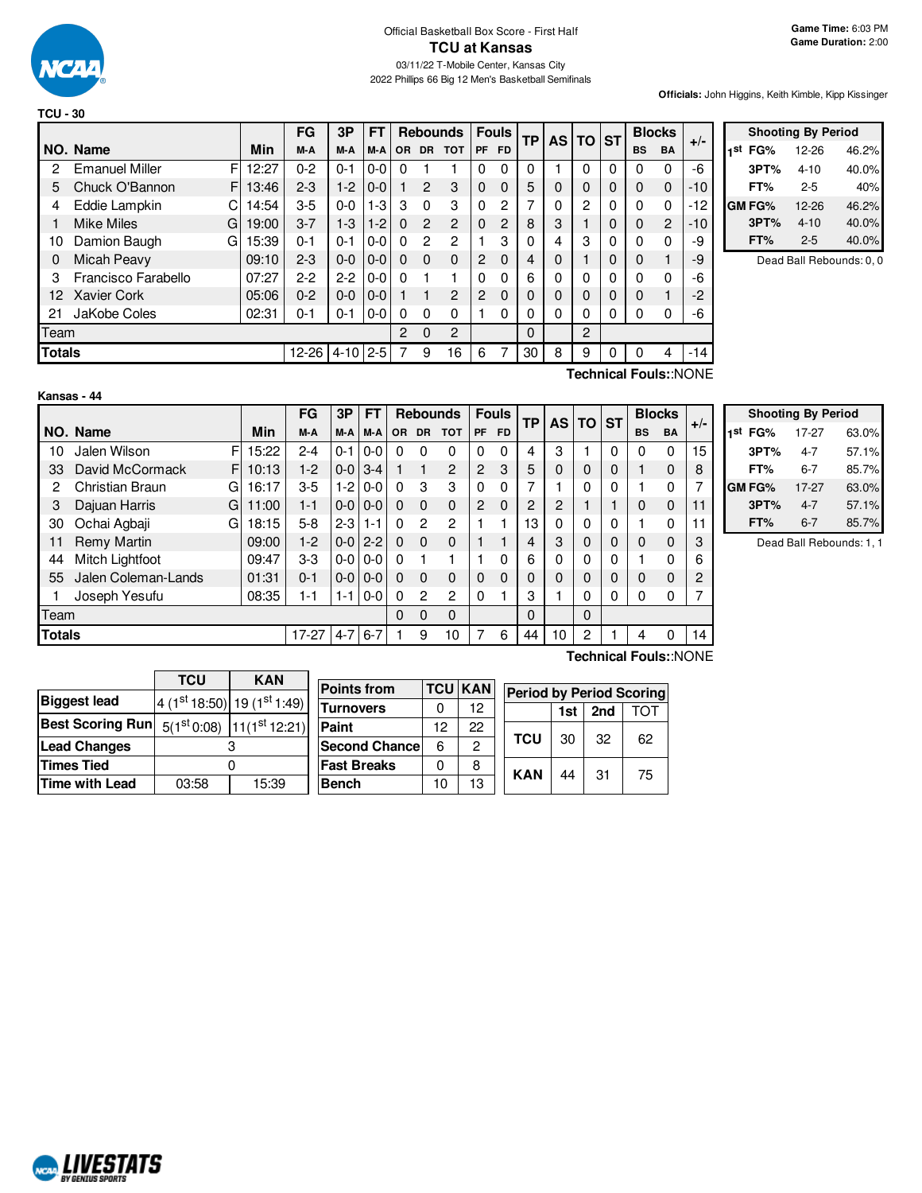

|               |                        |            | FG        | 3P       | <b>FT</b> |                |                | <b>Rebounds</b> |                | <b>Fouls</b> | <b>TP</b> | <b>AS</b> | $TO$ ST |   |           | <b>Blocks</b>  | $+/-$ |
|---------------|------------------------|------------|-----------|----------|-----------|----------------|----------------|-----------------|----------------|--------------|-----------|-----------|---------|---|-----------|----------------|-------|
|               | NO. Name               | Min        | M-A       | M-A      | M-A       | <b>OR</b>      |                | DR TOT          | <b>PF</b>      | <b>FD</b>    |           |           |         |   | <b>BS</b> | <b>BA</b>      |       |
| 2             | <b>Emanuel Miller</b>  | F<br>12:27 | $0 - 2$   | $0 - 1$  | $0 - 0$   | 0              |                |                 | $\Omega$       | $\mathbf{0}$ | 0         |           | 0       | 0 | 0         | 0              | -6    |
| 5             | Chuck O'Bannon         | F<br>13:46 | $2 - 3$   | $1-2$    | $0-0$     |                | $\overline{2}$ | 3               | $\Omega$       | $\Omega$     | 5         | 0         | 0       | 0 | $\Omega$  | $\Omega$       | $-10$ |
| 4             | Eddie Lampkin          | 14:54<br>C | $3 - 5$   | $0 - 0$  | $1-3$     | 3              | $\Omega$       | 3               | $\Omega$       | 2            | ⇁         | 0         | 2       | 0 | $\Omega$  | 0              | -12   |
|               | <b>Mike Miles</b><br>G | 19:00      | $3 - 7$   | $1-3$    | $1 - 2$   | 0              | $\overline{2}$ | $\overline{2}$  | $\Omega$       | 2            | 8         | 3         |         | 0 | $\Omega$  | $\overline{2}$ | $-10$ |
| 10            | Damion Baugh<br>G      | 15:39      | $0 - 1$   | $0 - 1$  | $0 - 0$   | 0              | $\overline{c}$ | 2               |                | 3            | 0         | 4         | 3       | 0 | $\Omega$  | 0              | -9    |
| 0             | Micah Peavy            | 09:10      | $2 - 3$   | $0 - 0$  | $0-0$     | $\Omega$       | $\Omega$       | $\mathbf{0}$    | $\overline{2}$ | $\Omega$     | 4         | 0         |         | 0 | $\Omega$  |                | -9    |
| 3             | Francisco Farabello    | 07:27      | $2-2$     | $2 - 2$  | $0 - 0$   | 0              |                | 1               | $\Omega$       | 0            | 6         | U         | 0       | 0 | $\Omega$  | <sup>0</sup>   | -6    |
| 12            | <b>Xavier Cork</b>     | 05:06      | $0 - 2$   | $0 - 0$  | $0 - 0$   |                |                | $\overline{2}$  | $\overline{2}$ | 0            | 0         | 0         | 0       | 0 | $\Omega$  |                | $-2$  |
| 21            | JaKobe Coles           | 02:31      | $0 - 1$   | $0 - 1$  | $0 - 0$   | $\Omega$       | $\Omega$       | $\Omega$        |                | 0            | 0         | 0         | 0       | 0 | $\Omega$  | 0              | -6    |
| Team          |                        |            |           |          |           | $\overline{2}$ | $\Omega$       | 2               |                |              | 0         |           | 2       |   |           |                |       |
| <b>Totals</b> |                        |            | $12 - 26$ | $4 - 10$ | $2 - 5$   |                | 9              | 16              | 6              | 7            | 30        | 8         | 9       | 0 | $\Omega$  | 4              | $-14$ |

| <b>Shooting By Period</b> |               |           |       |  |  |  |  |  |  |  |
|---------------------------|---------------|-----------|-------|--|--|--|--|--|--|--|
| 1st                       | FG%           | 12-26     | 46.2% |  |  |  |  |  |  |  |
|                           | 3PT%          | $4 - 10$  | 40.0% |  |  |  |  |  |  |  |
|                           | FT%           | $2 - 5$   | 40%   |  |  |  |  |  |  |  |
|                           | <b>GM FG%</b> | $12 - 26$ | 46.2% |  |  |  |  |  |  |  |
|                           | 3PT%          | $4 - 10$  | 40.0% |  |  |  |  |  |  |  |
|                           | FT%           | $2 - 5$   | 40.0% |  |  |  |  |  |  |  |

Dead Ball Rebounds: 0, 0

|               | Kansas - 44            |    |       |         |         |           |          |           |                 |           |              |          |                |          |   |           |               |       |
|---------------|------------------------|----|-------|---------|---------|-----------|----------|-----------|-----------------|-----------|--------------|----------|----------------|----------|---|-----------|---------------|-------|
|               |                        |    |       | FG      | 3P      | <b>FT</b> |          |           | <b>Rebounds</b> |           | <b>Fouls</b> | TP       |                | AS TO ST |   |           | <b>Blocks</b> |       |
|               | NO. Name               |    | Min   | M-A     | M-A     | M-A       | OR.      | <b>DR</b> | <b>TOT</b>      | <b>PF</b> | FD.          |          |                |          |   | <b>BS</b> | <b>BA</b>     | $+/-$ |
| 10            | Jalen Wilson           | F  | 15:22 | $2 - 4$ | $0 - 1$ | $0 - 0$   | 0        | $\Omega$  | 0               | 0         | $\Omega$     | 4        | 3              |          | 0 | 0         | 0             | 15    |
| 33            | David McCormack        | F. | 10:13 | $1-2$   | $0 - 0$ | $3 - 4$   |          |           | $\overline{2}$  | 2         | 3            | 5        | 0              | 0        | 0 |           | 0             | 8     |
| 2             | <b>Christian Braun</b> | G  | 16:17 | $3-5$   | $1-2$   | $0 - 0$   | 0        | 3         | 3               | 0         | 0            |          |                | 0        | 0 |           | 0             |       |
| 3             | Dajuan Harris          | G  | 11:00 | $1 - 1$ | $0 - 0$ | $0 - 0$   | 0        | $\Omega$  | $\Omega$        | 2         | $\mathbf{0}$ | 2        | $\overline{2}$ |          |   | 0         | 0             | 11    |
| 30            | Ochai Agbaji           | G  | 18:15 | $5-8$   | $2-3$   | $1 - 1$   | 0        | 2         | 2               |           |              | 13       | 0              | 0        | 0 |           | 0             | 11    |
| 11            | <b>Remy Martin</b>     |    | 09:00 | $1-2$   | $0-0$   | $2 - 2$   | $\Omega$ | $\Omega$  | $\mathbf 0$     |           |              | 4        | 3              | 0        | 0 | 0         | 0             | 3     |
| 44            | Mitch Lightfoot        |    | 09:47 | $3-3$   | $0-0$   | $0 - 0$   | 0        |           |                 |           | 0            | 6        | 0              | 0        | 0 |           | 0             | 6     |
| 55            | Jalen Coleman-Lands    |    | 01:31 | $0 - 1$ | $0 - 0$ | $0 - 0$   | $\Omega$ | $\Omega$  | $\Omega$        | 0         | $\Omega$     | 0        | 0              | 0        | 0 | O         | 0             | 2     |
|               | Joseph Yesufu          |    | 08:35 | 1-1     | $1 - 1$ | $0 - 0$   | 0        | 2         | $\mathbf{2}$    | 0         |              | 3        |                | 0        | 0 | 0         | 0             |       |
| Team          |                        |    |       |         |         |           | 0        | $\Omega$  | 0               |           |              | $\Omega$ |                | 0        |   |           |               |       |
| <b>Totals</b> |                        |    |       | 17-27   | $4 - 7$ | $6 - 7$   |          | 9         | 10              |           | 6            | 44       | 10             | 2        |   | 4         | 0             | 14    |

|  | Technical Fouls::NONE |
|--|-----------------------|
|--|-----------------------|

|     | <b>Shooting By Period</b> |         |       |  |  |  |  |  |  |  |  |  |  |
|-----|---------------------------|---------|-------|--|--|--|--|--|--|--|--|--|--|
| 1st | FG%                       | 17-27   | 63.0% |  |  |  |  |  |  |  |  |  |  |
|     | 3PT%                      | $4 - 7$ | 57.1% |  |  |  |  |  |  |  |  |  |  |
|     | FT%                       | 6-7     | 85.7% |  |  |  |  |  |  |  |  |  |  |
|     | GM FG%                    | 17-27   | 63.0% |  |  |  |  |  |  |  |  |  |  |
|     | 3PT%                      | $4 - 7$ | 57.1% |  |  |  |  |  |  |  |  |  |  |
|     | FT%                       | $6 - 7$ | 85.7% |  |  |  |  |  |  |  |  |  |  |

Dead Ball Rebounds: 1, 1

|                         | <b>TCU</b> | <b>KAN</b>                              |                    |                      |                |    |
|-------------------------|------------|-----------------------------------------|--------------------|----------------------|----------------|----|
|                         |            |                                         | <b>Points from</b> |                      | <b>TCU KAN</b> |    |
| <b>Biggest lead</b>     |            | $4(1st 18:50) 19(1st 1:49)$             | <b>Turnovers</b>   |                      |                | 12 |
| <b>Best Scoring Run</b> |            | $5(1st 0.08)$ 11(1 <sup>st</sup> 12:21) | Paint              |                      | 12             | 22 |
| <b>Lead Changes</b>     |            |                                         |                    | <b>Second Chance</b> | 6              | 0  |
| <b>Times Tied</b>       |            |                                         | <b>Fast Breaks</b> |                      |                |    |
| <b>Time with Lead</b>   | 03:58      | 15:39                                   | <b>Bench</b>       |                      | 10             | 13 |

**Technical Fouls:**:NONE

| <b>Points from</b>    |    | <b>TCU KAN</b> |            | <b>Period by Period Scoring</b> |     |     |  |  |  |  |  |  |
|-----------------------|----|----------------|------------|---------------------------------|-----|-----|--|--|--|--|--|--|
| <b>Turnovers</b>      |    | 12             |            | 1st                             | 2nd | TOT |  |  |  |  |  |  |
| Paint                 | 12 | 22             |            |                                 | -32 |     |  |  |  |  |  |  |
| <b>Second Chancel</b> | 6  | 2              | <b>TCU</b> | 30                              |     | 62  |  |  |  |  |  |  |
| <b>Fast Breaks</b>    |    | 8              | <b>KAN</b> |                                 |     |     |  |  |  |  |  |  |
| Bench                 |    |                |            | 44                              | 31  | 75  |  |  |  |  |  |  |

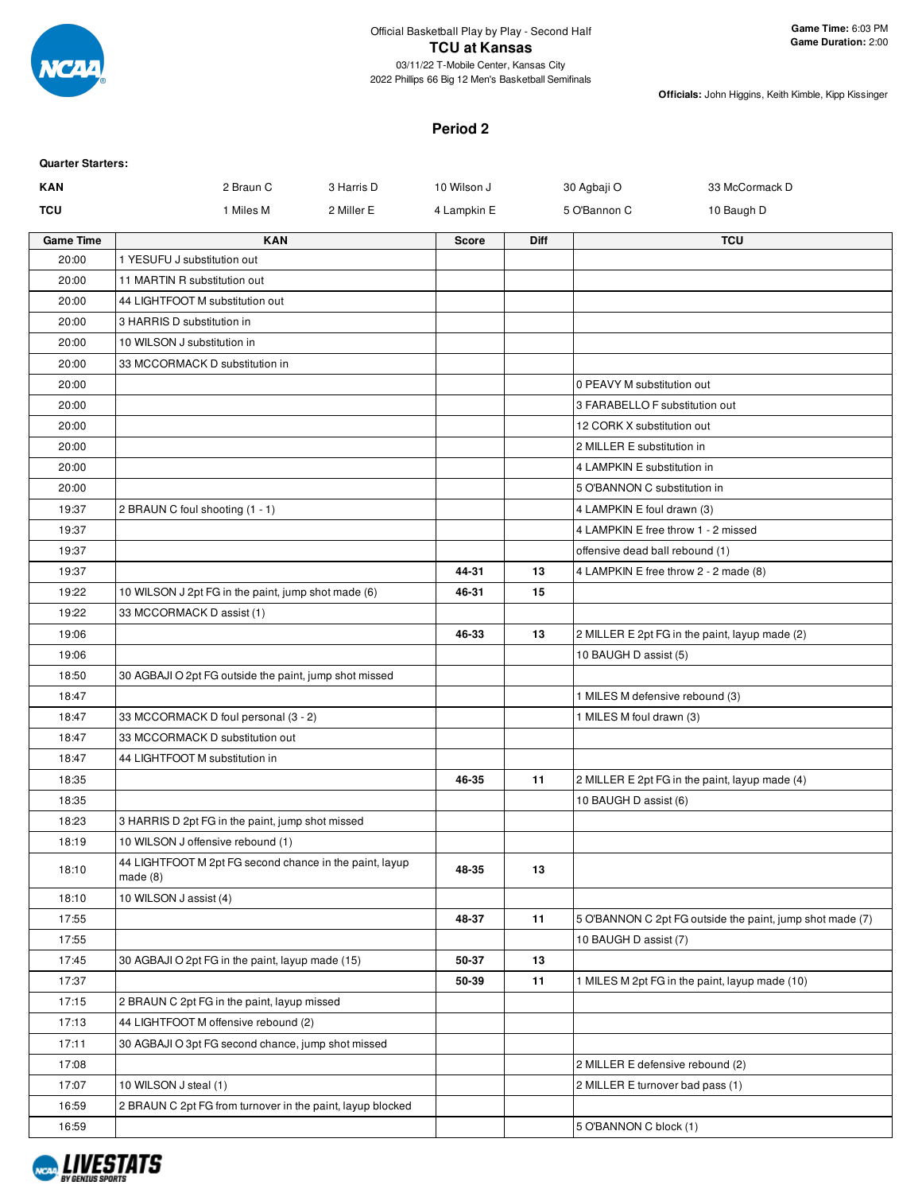

#### **Period 2**

| <b>Quarter Starters:</b> |                                                                       |              |      |                                                           |
|--------------------------|-----------------------------------------------------------------------|--------------|------|-----------------------------------------------------------|
| <b>KAN</b>               | 2 Braun C<br>3 Harris D                                               | 10 Wilson J  |      | 33 McCormack D<br>30 Agbaji O                             |
| TCU                      | 1 Miles M<br>2 Miller E                                               | 4 Lampkin E  |      | 5 O'Bannon C<br>10 Baugh D                                |
| <b>Game Time</b>         | <b>KAN</b>                                                            | <b>Score</b> | Diff | <b>TCU</b>                                                |
| 20:00                    | 1 YESUFU J substitution out                                           |              |      |                                                           |
| 20:00                    | 11 MARTIN R substitution out                                          |              |      |                                                           |
| 20:00                    | 44 LIGHTFOOT M substitution out                                       |              |      |                                                           |
| 20:00                    | 3 HARRIS D substitution in                                            |              |      |                                                           |
| 20:00                    | 10 WILSON J substitution in                                           |              |      |                                                           |
| 20:00                    | 33 MCCORMACK D substitution in                                        |              |      |                                                           |
| 20:00                    |                                                                       |              |      | 0 PEAVY M substitution out                                |
| 20:00                    |                                                                       |              |      | 3 FARABELLO F substitution out                            |
| 20:00                    |                                                                       |              |      | 12 CORK X substitution out                                |
| 20:00                    |                                                                       |              |      | 2 MILLER E substitution in                                |
| 20:00                    |                                                                       |              |      | 4 LAMPKIN E substitution in                               |
| 20:00                    |                                                                       |              |      | 5 O'BANNON C substitution in                              |
| 19:37                    | 2 BRAUN C foul shooting (1 - 1)                                       |              |      | 4 LAMPKIN E foul drawn (3)                                |
| 19:37                    |                                                                       |              |      | 4 LAMPKIN E free throw 1 - 2 missed                       |
| 19:37                    |                                                                       |              |      | offensive dead ball rebound (1)                           |
| 19:37                    |                                                                       | 44-31        | 13   | 4 LAMPKIN E free throw 2 - 2 made (8)                     |
| 19:22                    | 10 WILSON J 2pt FG in the paint, jump shot made (6)                   | 46-31        | 15   |                                                           |
| 19:22                    | 33 MCCORMACK D assist (1)                                             |              |      |                                                           |
| 19:06                    |                                                                       | 46-33        | 13   | 2 MILLER E 2pt FG in the paint, layup made (2)            |
| 19:06                    |                                                                       |              |      | 10 BAUGH D assist (5)                                     |
| 18:50                    | 30 AGBAJI O 2pt FG outside the paint, jump shot missed                |              |      |                                                           |
| 18:47                    |                                                                       |              |      | 1 MILES M defensive rebound (3)                           |
| 18:47                    | 33 MCCORMACK D foul personal (3 - 2)                                  |              |      | 1 MILES M foul drawn (3)                                  |
| 18:47                    | 33 MCCORMACK D substitution out                                       |              |      |                                                           |
| 18:47                    | 44 LIGHTFOOT M substitution in                                        |              |      |                                                           |
| 18:35                    |                                                                       | 46-35        | 11   | 2 MILLER E 2pt FG in the paint, layup made (4)            |
| 18:35                    |                                                                       |              |      | 10 BAUGH D assist (6)                                     |
| 18:23                    | 3 HARRIS D 2pt FG in the paint, jump shot missed                      |              |      |                                                           |
| 18:19                    | 10 WILSON J offensive rebound (1)                                     |              |      |                                                           |
| 18:10                    | 44 LIGHTFOOT M 2pt FG second chance in the paint, layup<br>made $(8)$ | 48-35        | 13   |                                                           |
| 18:10                    | 10 WILSON J assist (4)                                                |              |      |                                                           |
| 17:55                    |                                                                       | 48-37        | 11   | 5 O'BANNON C 2pt FG outside the paint, jump shot made (7) |
| 17:55                    |                                                                       |              |      | 10 BAUGH D assist (7)                                     |
| 17:45                    | 30 AGBAJI O 2pt FG in the paint, layup made (15)                      | 50-37        | 13   |                                                           |
| 17:37                    |                                                                       | 50-39        | 11   | 1 MILES M 2pt FG in the paint, layup made (10)            |
| 17:15                    | 2 BRAUN C 2pt FG in the paint, layup missed                           |              |      |                                                           |
| 17:13                    | 44 LIGHTFOOT M offensive rebound (2)                                  |              |      |                                                           |
| 17:11                    | 30 AGBAJI O 3pt FG second chance, jump shot missed                    |              |      |                                                           |
| 17:08                    |                                                                       |              |      | 2 MILLER E defensive rebound (2)                          |
| 17:07                    | 10 WILSON J steal (1)                                                 |              |      | 2 MILLER E turnover bad pass (1)                          |
| 16:59                    | 2 BRAUN C 2pt FG from turnover in the paint, layup blocked            |              |      |                                                           |
| 16:59                    |                                                                       |              |      | 5 O'BANNON C block (1)                                    |
|                          |                                                                       |              |      |                                                           |

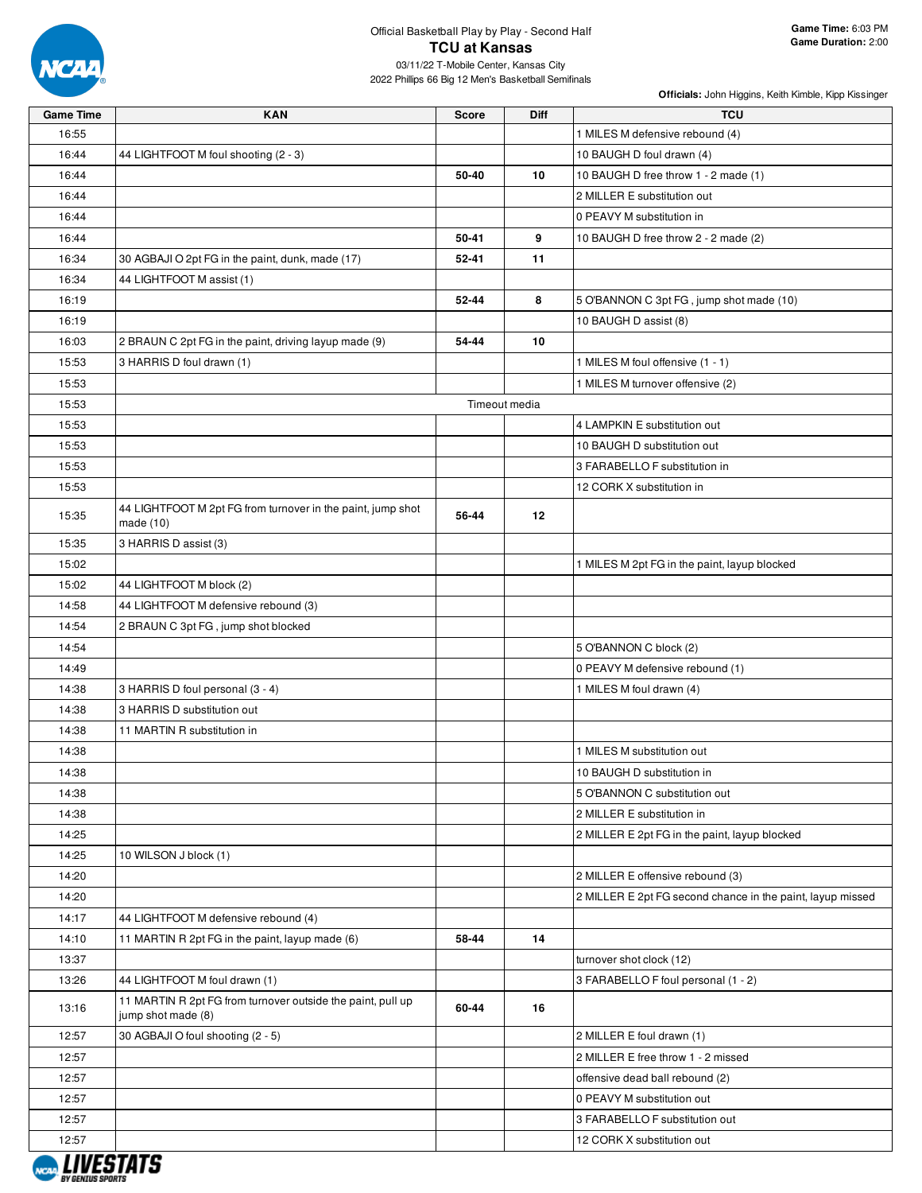

| <b>Game Time</b> | <b>KAN</b>                                                                        | <b>Score</b> | <b>Diff</b>   | <b>TCU</b>                                                 |
|------------------|-----------------------------------------------------------------------------------|--------------|---------------|------------------------------------------------------------|
| 16:55            |                                                                                   |              |               | 1 MILES M defensive rebound (4)                            |
| 16:44            | 44 LIGHTFOOT M foul shooting (2 - 3)                                              |              |               | 10 BAUGH D foul drawn (4)                                  |
| 16:44            |                                                                                   | 50-40        | 10            | 10 BAUGH D free throw 1 - 2 made (1)                       |
| 16:44            |                                                                                   |              |               | 2 MILLER E substitution out                                |
| 16:44            |                                                                                   |              |               | 0 PEAVY M substitution in                                  |
| 16:44            |                                                                                   | 50-41        | 9             | 10 BAUGH D free throw 2 - 2 made (2)                       |
| 16:34            | 30 AGBAJI O 2pt FG in the paint, dunk, made (17)                                  | 52-41        | 11            |                                                            |
| 16:34            | 44 LIGHTFOOT M assist (1)                                                         |              |               |                                                            |
| 16:19            |                                                                                   | 52-44        | 8             | 5 O'BANNON C 3pt FG, jump shot made (10)                   |
| 16:19            |                                                                                   |              |               | 10 BAUGH D assist (8)                                      |
| 16:03            | 2 BRAUN C 2pt FG in the paint, driving layup made (9)                             | 54-44        | 10            |                                                            |
| 15:53            | 3 HARRIS D foul drawn (1)                                                         |              |               | 1 MILES M foul offensive (1 - 1)                           |
| 15:53            |                                                                                   |              |               | 1 MILES M turnover offensive (2)                           |
| 15:53            |                                                                                   |              | Timeout media |                                                            |
| 15:53            |                                                                                   |              |               | 4 LAMPKIN E substitution out                               |
| 15:53            |                                                                                   |              |               | 10 BAUGH D substitution out                                |
| 15:53            |                                                                                   |              |               | 3 FARABELLO F substitution in                              |
| 15:53            |                                                                                   |              |               | 12 CORK X substitution in                                  |
| 15:35            | 44 LIGHTFOOT M 2pt FG from turnover in the paint, jump shot<br>made $(10)$        | 56-44        | 12            |                                                            |
| 15:35            | 3 HARRIS D assist (3)                                                             |              |               |                                                            |
| 15:02            |                                                                                   |              |               | 1 MILES M 2pt FG in the paint, layup blocked               |
| 15:02            | 44 LIGHTFOOT M block (2)                                                          |              |               |                                                            |
| 14:58            | 44 LIGHTFOOT M defensive rebound (3)                                              |              |               |                                                            |
| 14:54            | 2 BRAUN C 3pt FG, jump shot blocked                                               |              |               |                                                            |
| 14:54            |                                                                                   |              |               | 5 O'BANNON C block (2)                                     |
| 14:49            |                                                                                   |              |               | 0 PEAVY M defensive rebound (1)                            |
| 14:38            | 3 HARRIS D foul personal (3 - 4)                                                  |              |               | 1 MILES M foul drawn (4)                                   |
| 14:38            | 3 HARRIS D substitution out                                                       |              |               |                                                            |
| 14:38            | 11 MARTIN R substitution in                                                       |              |               |                                                            |
| 14:38            |                                                                                   |              |               | 1 MILES M substitution out                                 |
| 14:38            |                                                                                   |              |               | 10 BAUGH D substitution in                                 |
| 14:38            |                                                                                   |              |               | 5 O'BANNON C substitution out                              |
| 14:38            |                                                                                   |              |               | 2 MILLER E substitution in                                 |
| 14:25            |                                                                                   |              |               | 2 MILLER E 2pt FG in the paint, layup blocked              |
| 14:25            | 10 WILSON J block (1)                                                             |              |               |                                                            |
| 14:20            |                                                                                   |              |               | 2 MILLER E offensive rebound (3)                           |
| 14:20            |                                                                                   |              |               | 2 MILLER E 2pt FG second chance in the paint, layup missed |
| 14:17            | 44 LIGHTFOOT M defensive rebound (4)                                              |              |               |                                                            |
| 14:10            | 11 MARTIN R 2pt FG in the paint, layup made (6)                                   | 58-44        | 14            |                                                            |
| 13:37            |                                                                                   |              |               | turnover shot clock (12)                                   |
| 13:26            | 44 LIGHTFOOT M foul drawn (1)                                                     |              |               | 3 FARABELLO F foul personal (1 - 2)                        |
| 13:16            | 11 MARTIN R 2pt FG from turnover outside the paint, pull up<br>jump shot made (8) | 60-44        | 16            |                                                            |
| 12:57            | 30 AGBAJI O foul shooting (2 - 5)                                                 |              |               | 2 MILLER E foul drawn (1)                                  |
| 12:57            |                                                                                   |              |               | 2 MILLER E free throw 1 - 2 missed                         |
| 12:57            |                                                                                   |              |               | offensive dead ball rebound (2)                            |
| 12:57            |                                                                                   |              |               | 0 PEAVY M substitution out                                 |
| 12:57            |                                                                                   |              |               | 3 FARABELLO F substitution out                             |
| 12:57            |                                                                                   |              |               | 12 CORK X substitution out                                 |
|                  |                                                                                   |              |               |                                                            |

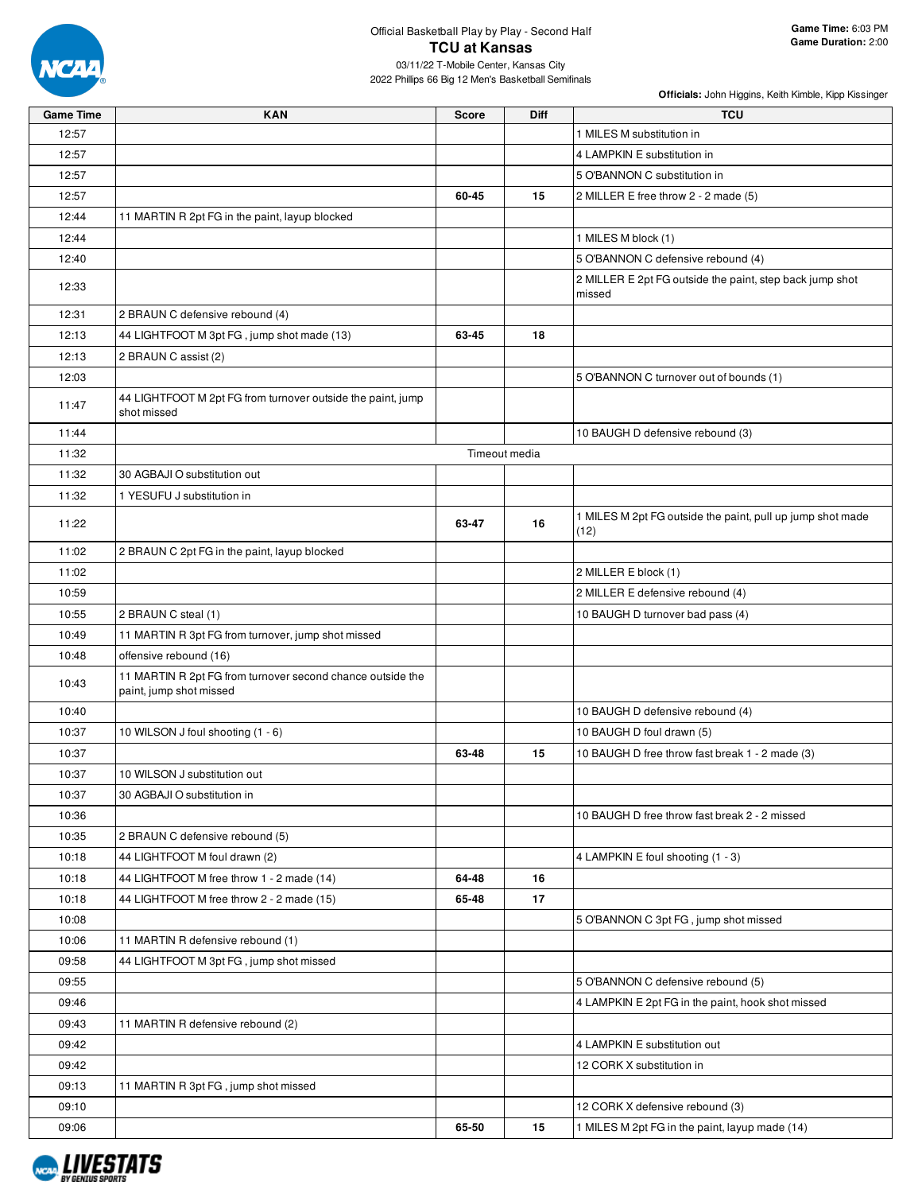

| 12:57<br>1 MILES M substitution in<br>12:57<br>4 LAMPKIN E substitution in<br>12:57<br>5 O'BANNON C substitution in<br>12:57<br>15<br>2 MILLER E free throw 2 - 2 made (5)<br>60-45<br>12:44<br>11 MARTIN R 2pt FG in the paint, layup blocked<br>12:44<br>1 MILES M block (1)<br>5 O'BANNON C defensive rebound (4)<br>12:40<br>2 MILLER E 2pt FG outside the paint, step back jump shot<br>12:33<br>missed<br>12:31<br>2 BRAUN C defensive rebound (4)<br>44 LIGHTFOOT M 3pt FG, jump shot made (13)<br>12:13<br>63-45<br>18<br>12:13<br>2 BRAUN C assist (2)<br>12:03<br>5 O'BANNON C turnover out of bounds (1)<br>44 LIGHTFOOT M 2pt FG from turnover outside the paint, jump<br>11:47<br>shot missed<br>11:44<br>10 BAUGH D defensive rebound (3)<br>Timeout media<br>11:32<br>11:32<br>30 AGBAJI O substitution out<br>11:32<br>1 YESUFU J substitution in<br>1 MILES M 2pt FG outside the paint, pull up jump shot made<br>11:22<br>63-47<br>16<br>(12)<br>11:02<br>2 BRAUN C 2pt FG in the paint, layup blocked<br>11:02<br>2 MILLER E block (1)<br>2 MILLER E defensive rebound (4)<br>10:59<br>10:55<br>2 BRAUN C steal (1)<br>10 BAUGH D turnover bad pass (4)<br>10:49<br>11 MARTIN R 3pt FG from turnover, jump shot missed<br>10:48<br>offensive rebound (16)<br>11 MARTIN R 2pt FG from turnover second chance outside the<br>10:43<br>paint, jump shot missed<br>10:40<br>10 BAUGH D defensive rebound (4) | <b>Game Time</b> | <b>KAN</b>                        | <b>Score</b> | Diff | <b>TCU</b>                |
|-----------------------------------------------------------------------------------------------------------------------------------------------------------------------------------------------------------------------------------------------------------------------------------------------------------------------------------------------------------------------------------------------------------------------------------------------------------------------------------------------------------------------------------------------------------------------------------------------------------------------------------------------------------------------------------------------------------------------------------------------------------------------------------------------------------------------------------------------------------------------------------------------------------------------------------------------------------------------------------------------------------------------------------------------------------------------------------------------------------------------------------------------------------------------------------------------------------------------------------------------------------------------------------------------------------------------------------------------------------------------------------------------------------------------------|------------------|-----------------------------------|--------------|------|---------------------------|
|                                                                                                                                                                                                                                                                                                                                                                                                                                                                                                                                                                                                                                                                                                                                                                                                                                                                                                                                                                                                                                                                                                                                                                                                                                                                                                                                                                                                                             |                  |                                   |              |      |                           |
|                                                                                                                                                                                                                                                                                                                                                                                                                                                                                                                                                                                                                                                                                                                                                                                                                                                                                                                                                                                                                                                                                                                                                                                                                                                                                                                                                                                                                             |                  |                                   |              |      |                           |
|                                                                                                                                                                                                                                                                                                                                                                                                                                                                                                                                                                                                                                                                                                                                                                                                                                                                                                                                                                                                                                                                                                                                                                                                                                                                                                                                                                                                                             |                  |                                   |              |      |                           |
|                                                                                                                                                                                                                                                                                                                                                                                                                                                                                                                                                                                                                                                                                                                                                                                                                                                                                                                                                                                                                                                                                                                                                                                                                                                                                                                                                                                                                             |                  |                                   |              |      |                           |
|                                                                                                                                                                                                                                                                                                                                                                                                                                                                                                                                                                                                                                                                                                                                                                                                                                                                                                                                                                                                                                                                                                                                                                                                                                                                                                                                                                                                                             |                  |                                   |              |      |                           |
|                                                                                                                                                                                                                                                                                                                                                                                                                                                                                                                                                                                                                                                                                                                                                                                                                                                                                                                                                                                                                                                                                                                                                                                                                                                                                                                                                                                                                             |                  |                                   |              |      |                           |
|                                                                                                                                                                                                                                                                                                                                                                                                                                                                                                                                                                                                                                                                                                                                                                                                                                                                                                                                                                                                                                                                                                                                                                                                                                                                                                                                                                                                                             |                  |                                   |              |      |                           |
|                                                                                                                                                                                                                                                                                                                                                                                                                                                                                                                                                                                                                                                                                                                                                                                                                                                                                                                                                                                                                                                                                                                                                                                                                                                                                                                                                                                                                             |                  |                                   |              |      |                           |
|                                                                                                                                                                                                                                                                                                                                                                                                                                                                                                                                                                                                                                                                                                                                                                                                                                                                                                                                                                                                                                                                                                                                                                                                                                                                                                                                                                                                                             |                  |                                   |              |      |                           |
|                                                                                                                                                                                                                                                                                                                                                                                                                                                                                                                                                                                                                                                                                                                                                                                                                                                                                                                                                                                                                                                                                                                                                                                                                                                                                                                                                                                                                             |                  |                                   |              |      |                           |
|                                                                                                                                                                                                                                                                                                                                                                                                                                                                                                                                                                                                                                                                                                                                                                                                                                                                                                                                                                                                                                                                                                                                                                                                                                                                                                                                                                                                                             |                  |                                   |              |      |                           |
|                                                                                                                                                                                                                                                                                                                                                                                                                                                                                                                                                                                                                                                                                                                                                                                                                                                                                                                                                                                                                                                                                                                                                                                                                                                                                                                                                                                                                             |                  |                                   |              |      |                           |
|                                                                                                                                                                                                                                                                                                                                                                                                                                                                                                                                                                                                                                                                                                                                                                                                                                                                                                                                                                                                                                                                                                                                                                                                                                                                                                                                                                                                                             |                  |                                   |              |      |                           |
|                                                                                                                                                                                                                                                                                                                                                                                                                                                                                                                                                                                                                                                                                                                                                                                                                                                                                                                                                                                                                                                                                                                                                                                                                                                                                                                                                                                                                             |                  |                                   |              |      |                           |
|                                                                                                                                                                                                                                                                                                                                                                                                                                                                                                                                                                                                                                                                                                                                                                                                                                                                                                                                                                                                                                                                                                                                                                                                                                                                                                                                                                                                                             |                  |                                   |              |      |                           |
|                                                                                                                                                                                                                                                                                                                                                                                                                                                                                                                                                                                                                                                                                                                                                                                                                                                                                                                                                                                                                                                                                                                                                                                                                                                                                                                                                                                                                             |                  |                                   |              |      |                           |
|                                                                                                                                                                                                                                                                                                                                                                                                                                                                                                                                                                                                                                                                                                                                                                                                                                                                                                                                                                                                                                                                                                                                                                                                                                                                                                                                                                                                                             |                  |                                   |              |      |                           |
|                                                                                                                                                                                                                                                                                                                                                                                                                                                                                                                                                                                                                                                                                                                                                                                                                                                                                                                                                                                                                                                                                                                                                                                                                                                                                                                                                                                                                             |                  |                                   |              |      |                           |
|                                                                                                                                                                                                                                                                                                                                                                                                                                                                                                                                                                                                                                                                                                                                                                                                                                                                                                                                                                                                                                                                                                                                                                                                                                                                                                                                                                                                                             |                  |                                   |              |      |                           |
|                                                                                                                                                                                                                                                                                                                                                                                                                                                                                                                                                                                                                                                                                                                                                                                                                                                                                                                                                                                                                                                                                                                                                                                                                                                                                                                                                                                                                             |                  |                                   |              |      |                           |
|                                                                                                                                                                                                                                                                                                                                                                                                                                                                                                                                                                                                                                                                                                                                                                                                                                                                                                                                                                                                                                                                                                                                                                                                                                                                                                                                                                                                                             |                  |                                   |              |      |                           |
|                                                                                                                                                                                                                                                                                                                                                                                                                                                                                                                                                                                                                                                                                                                                                                                                                                                                                                                                                                                                                                                                                                                                                                                                                                                                                                                                                                                                                             |                  |                                   |              |      |                           |
|                                                                                                                                                                                                                                                                                                                                                                                                                                                                                                                                                                                                                                                                                                                                                                                                                                                                                                                                                                                                                                                                                                                                                                                                                                                                                                                                                                                                                             |                  |                                   |              |      |                           |
|                                                                                                                                                                                                                                                                                                                                                                                                                                                                                                                                                                                                                                                                                                                                                                                                                                                                                                                                                                                                                                                                                                                                                                                                                                                                                                                                                                                                                             |                  |                                   |              |      |                           |
|                                                                                                                                                                                                                                                                                                                                                                                                                                                                                                                                                                                                                                                                                                                                                                                                                                                                                                                                                                                                                                                                                                                                                                                                                                                                                                                                                                                                                             |                  |                                   |              |      |                           |
|                                                                                                                                                                                                                                                                                                                                                                                                                                                                                                                                                                                                                                                                                                                                                                                                                                                                                                                                                                                                                                                                                                                                                                                                                                                                                                                                                                                                                             |                  |                                   |              |      |                           |
| 10:37                                                                                                                                                                                                                                                                                                                                                                                                                                                                                                                                                                                                                                                                                                                                                                                                                                                                                                                                                                                                                                                                                                                                                                                                                                                                                                                                                                                                                       |                  | 10 WILSON J foul shooting (1 - 6) |              |      | 10 BAUGH D foul drawn (5) |
| 10:37<br>63-48<br>10 BAUGH D free throw fast break 1 - 2 made (3)<br>15                                                                                                                                                                                                                                                                                                                                                                                                                                                                                                                                                                                                                                                                                                                                                                                                                                                                                                                                                                                                                                                                                                                                                                                                                                                                                                                                                     |                  |                                   |              |      |                           |
| 10:37<br>10 WILSON J substitution out                                                                                                                                                                                                                                                                                                                                                                                                                                                                                                                                                                                                                                                                                                                                                                                                                                                                                                                                                                                                                                                                                                                                                                                                                                                                                                                                                                                       |                  |                                   |              |      |                           |
| 10:37<br>30 AGBAJI O substitution in                                                                                                                                                                                                                                                                                                                                                                                                                                                                                                                                                                                                                                                                                                                                                                                                                                                                                                                                                                                                                                                                                                                                                                                                                                                                                                                                                                                        |                  |                                   |              |      |                           |
| 10:36<br>10 BAUGH D free throw fast break 2 - 2 missed                                                                                                                                                                                                                                                                                                                                                                                                                                                                                                                                                                                                                                                                                                                                                                                                                                                                                                                                                                                                                                                                                                                                                                                                                                                                                                                                                                      |                  |                                   |              |      |                           |
| 10:35<br>2 BRAUN C defensive rebound (5)                                                                                                                                                                                                                                                                                                                                                                                                                                                                                                                                                                                                                                                                                                                                                                                                                                                                                                                                                                                                                                                                                                                                                                                                                                                                                                                                                                                    |                  |                                   |              |      |                           |
| 10:18<br>44 LIGHTFOOT M foul drawn (2)<br>4 LAMPKIN E foul shooting (1 - 3)                                                                                                                                                                                                                                                                                                                                                                                                                                                                                                                                                                                                                                                                                                                                                                                                                                                                                                                                                                                                                                                                                                                                                                                                                                                                                                                                                 |                  |                                   |              |      |                           |
| 10:18<br>44 LIGHTFOOT M free throw 1 - 2 made (14)<br>64-48<br>16                                                                                                                                                                                                                                                                                                                                                                                                                                                                                                                                                                                                                                                                                                                                                                                                                                                                                                                                                                                                                                                                                                                                                                                                                                                                                                                                                           |                  |                                   |              |      |                           |
| 17<br>65-48<br>10:18<br>44 LIGHTFOOT M free throw 2 - 2 made (15)                                                                                                                                                                                                                                                                                                                                                                                                                                                                                                                                                                                                                                                                                                                                                                                                                                                                                                                                                                                                                                                                                                                                                                                                                                                                                                                                                           |                  |                                   |              |      |                           |
| 10:08<br>5 O'BANNON C 3pt FG, jump shot missed                                                                                                                                                                                                                                                                                                                                                                                                                                                                                                                                                                                                                                                                                                                                                                                                                                                                                                                                                                                                                                                                                                                                                                                                                                                                                                                                                                              |                  |                                   |              |      |                           |
| 10:06<br>11 MARTIN R defensive rebound (1)                                                                                                                                                                                                                                                                                                                                                                                                                                                                                                                                                                                                                                                                                                                                                                                                                                                                                                                                                                                                                                                                                                                                                                                                                                                                                                                                                                                  |                  |                                   |              |      |                           |
| 44 LIGHTFOOT M 3pt FG, jump shot missed<br>09:58                                                                                                                                                                                                                                                                                                                                                                                                                                                                                                                                                                                                                                                                                                                                                                                                                                                                                                                                                                                                                                                                                                                                                                                                                                                                                                                                                                            |                  |                                   |              |      |                           |
| 09:55<br>5 O'BANNON C defensive rebound (5)                                                                                                                                                                                                                                                                                                                                                                                                                                                                                                                                                                                                                                                                                                                                                                                                                                                                                                                                                                                                                                                                                                                                                                                                                                                                                                                                                                                 |                  |                                   |              |      |                           |
| 09:46<br>4 LAMPKIN E 2pt FG in the paint, hook shot missed                                                                                                                                                                                                                                                                                                                                                                                                                                                                                                                                                                                                                                                                                                                                                                                                                                                                                                                                                                                                                                                                                                                                                                                                                                                                                                                                                                  |                  |                                   |              |      |                           |
| 09:43<br>11 MARTIN R defensive rebound (2)                                                                                                                                                                                                                                                                                                                                                                                                                                                                                                                                                                                                                                                                                                                                                                                                                                                                                                                                                                                                                                                                                                                                                                                                                                                                                                                                                                                  |                  |                                   |              |      |                           |
| 09:42<br>4 LAMPKIN E substitution out                                                                                                                                                                                                                                                                                                                                                                                                                                                                                                                                                                                                                                                                                                                                                                                                                                                                                                                                                                                                                                                                                                                                                                                                                                                                                                                                                                                       |                  |                                   |              |      |                           |
| 09:42<br>12 CORK X substitution in                                                                                                                                                                                                                                                                                                                                                                                                                                                                                                                                                                                                                                                                                                                                                                                                                                                                                                                                                                                                                                                                                                                                                                                                                                                                                                                                                                                          |                  |                                   |              |      |                           |
| 09:13<br>11 MARTIN R 3pt FG, jump shot missed                                                                                                                                                                                                                                                                                                                                                                                                                                                                                                                                                                                                                                                                                                                                                                                                                                                                                                                                                                                                                                                                                                                                                                                                                                                                                                                                                                               |                  |                                   |              |      |                           |
| 09:10<br>12 CORK X defensive rebound (3)                                                                                                                                                                                                                                                                                                                                                                                                                                                                                                                                                                                                                                                                                                                                                                                                                                                                                                                                                                                                                                                                                                                                                                                                                                                                                                                                                                                    |                  |                                   |              |      |                           |
| 09:06<br>65-50<br>15<br>1 MILES M 2pt FG in the paint, layup made (14)                                                                                                                                                                                                                                                                                                                                                                                                                                                                                                                                                                                                                                                                                                                                                                                                                                                                                                                                                                                                                                                                                                                                                                                                                                                                                                                                                      |                  |                                   |              |      |                           |

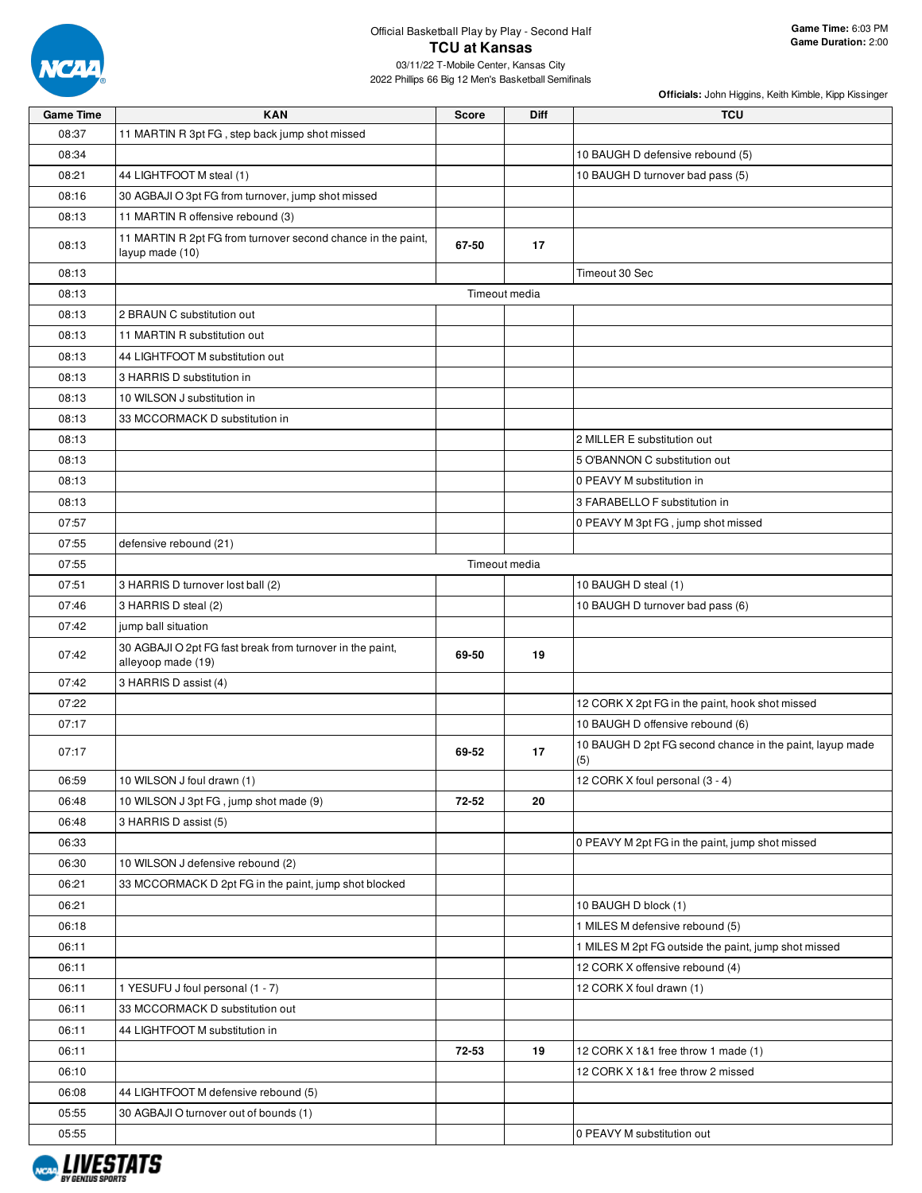

| <b>Game Time</b> | <b>KAN</b>                                                                      | Score | Diff          | <b>TCU</b>                                                      |
|------------------|---------------------------------------------------------------------------------|-------|---------------|-----------------------------------------------------------------|
| 08:37            | 11 MARTIN R 3pt FG, step back jump shot missed                                  |       |               |                                                                 |
| 08:34            |                                                                                 |       |               | 10 BAUGH D defensive rebound (5)                                |
| 08:21            | 44 LIGHTFOOT M steal (1)                                                        |       |               | 10 BAUGH D turnover bad pass (5)                                |
| 08:16            | 30 AGBAJI O 3pt FG from turnover, jump shot missed                              |       |               |                                                                 |
| 08:13            | 11 MARTIN R offensive rebound (3)                                               |       |               |                                                                 |
| 08:13            | 11 MARTIN R 2pt FG from turnover second chance in the paint,<br>layup made (10) | 67-50 | 17            |                                                                 |
| 08:13            |                                                                                 |       |               | Timeout 30 Sec                                                  |
| 08:13            |                                                                                 |       | Timeout media |                                                                 |
| 08:13            | 2 BRAUN C substitution out                                                      |       |               |                                                                 |
| 08:13            | 11 MARTIN R substitution out                                                    |       |               |                                                                 |
| 08:13            | 44 LIGHTFOOT M substitution out                                                 |       |               |                                                                 |
| 08:13            | 3 HARRIS D substitution in                                                      |       |               |                                                                 |
| 08:13            | 10 WILSON J substitution in                                                     |       |               |                                                                 |
| 08:13            | 33 MCCORMACK D substitution in                                                  |       |               |                                                                 |
| 08:13            |                                                                                 |       |               | 2 MILLER E substitution out                                     |
| 08:13            |                                                                                 |       |               | 5 O'BANNON C substitution out                                   |
| 08:13            |                                                                                 |       |               | 0 PEAVY M substitution in                                       |
| 08:13            |                                                                                 |       |               | 3 FARABELLO F substitution in                                   |
| 07:57            |                                                                                 |       |               | 0 PEAVY M 3pt FG, jump shot missed                              |
| 07:55            | defensive rebound (21)                                                          |       |               |                                                                 |
| 07:55            |                                                                                 |       | Timeout media |                                                                 |
| 07:51            | 3 HARRIS D turnover lost ball (2)                                               |       |               | 10 BAUGH D steal (1)                                            |
| 07:46            | 3 HARRIS D steal (2)                                                            |       |               | 10 BAUGH D turnover bad pass (6)                                |
| 07:42            | jump ball situation                                                             |       |               |                                                                 |
| 07:42            | 30 AGBAJI O 2pt FG fast break from turnover in the paint,<br>alleyoop made (19) | 69-50 | 19            |                                                                 |
| 07:42            | 3 HARRIS D assist (4)                                                           |       |               |                                                                 |
| 07:22            |                                                                                 |       |               | 12 CORK X 2pt FG in the paint, hook shot missed                 |
| 07:17            |                                                                                 |       |               | 10 BAUGH D offensive rebound (6)                                |
| 07:17            |                                                                                 | 69-52 | 17            | 10 BAUGH D 2pt FG second chance in the paint, layup made<br>(5) |
| 06:59            | 10 WILSON J foul drawn (1)                                                      |       |               | 12 CORK X foul personal (3 - 4)                                 |
| 06:48            | 10 WILSON J 3pt FG, jump shot made (9)                                          | 72-52 | 20            |                                                                 |
| 06:48            | 3 HARRIS D assist (5)                                                           |       |               |                                                                 |
| 06:33            |                                                                                 |       |               | 0 PEAVY M 2pt FG in the paint, jump shot missed                 |
| 06:30            | 10 WILSON J defensive rebound (2)                                               |       |               |                                                                 |
| 06:21            | 33 MCCORMACK D 2pt FG in the paint, jump shot blocked                           |       |               |                                                                 |
| 06:21            |                                                                                 |       |               | 10 BAUGH D block (1)                                            |
| 06:18            |                                                                                 |       |               | 1 MILES M defensive rebound (5)                                 |
| 06:11            |                                                                                 |       |               | 1 MILES M 2pt FG outside the paint, jump shot missed            |
| 06:11            |                                                                                 |       |               | 12 CORK X offensive rebound (4)                                 |
| 06:11            | 1 YESUFU J foul personal (1 - 7)                                                |       |               | 12 CORK X foul drawn (1)                                        |
| 06:11            | 33 MCCORMACK D substitution out                                                 |       |               |                                                                 |
| 06:11            | 44 LIGHTFOOT M substitution in                                                  |       |               |                                                                 |
| 06:11            |                                                                                 | 72-53 | 19            | 12 CORK X 1&1 free throw 1 made (1)                             |
| 06:10            |                                                                                 |       |               | 12 CORK X 1&1 free throw 2 missed                               |
| 06:08            | 44 LIGHTFOOT M defensive rebound (5)                                            |       |               |                                                                 |
| 05:55            | 30 AGBAJI O turnover out of bounds (1)                                          |       |               |                                                                 |
| 05:55            |                                                                                 |       |               | 0 PEAVY M substitution out                                      |

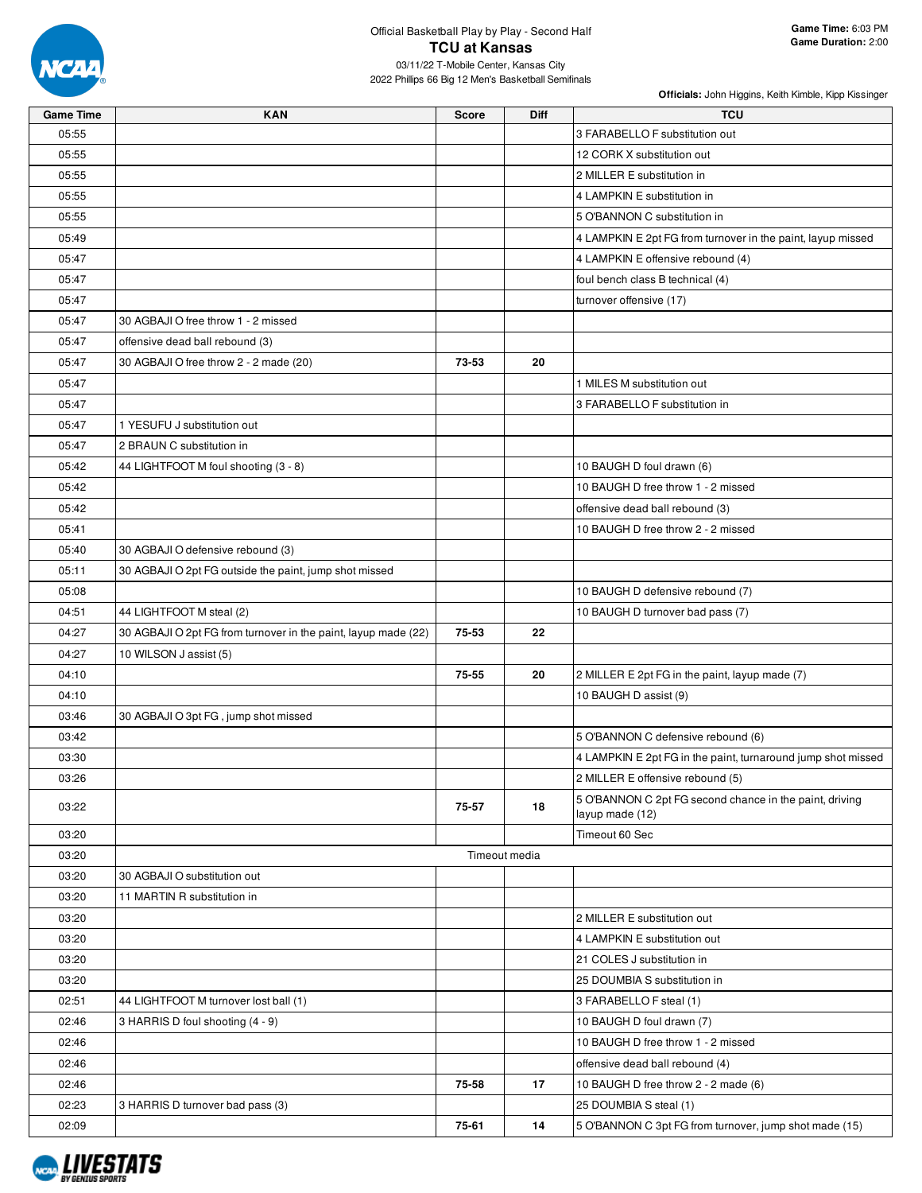

| <b>Game Time</b> | <b>KAN</b>                                                     | <b>Score</b> | Diff          | <b>TCU</b>                                                   |
|------------------|----------------------------------------------------------------|--------------|---------------|--------------------------------------------------------------|
| 05:55            |                                                                |              |               | 3 FARABELLO F substitution out                               |
| 05:55            |                                                                |              |               | 12 CORK X substitution out                                   |
| 05:55            |                                                                |              |               | 2 MILLER E substitution in                                   |
| 05:55            |                                                                |              |               | 4 LAMPKIN E substitution in                                  |
| 05:55            |                                                                |              |               | 5 O'BANNON C substitution in                                 |
| 05:49            |                                                                |              |               | 4 LAMPKIN E 2pt FG from turnover in the paint, layup missed  |
| 05:47            |                                                                |              |               | 4 LAMPKIN E offensive rebound (4)                            |
| 05:47            |                                                                |              |               | foul bench class B technical (4)                             |
| 05:47            |                                                                |              |               | turnover offensive (17)                                      |
| 05:47            | 30 AGBAJI O free throw 1 - 2 missed                            |              |               |                                                              |
| 05:47            | offensive dead ball rebound (3)                                |              |               |                                                              |
| 05:47            | 30 AGBAJI O free throw 2 - 2 made (20)                         | 73-53        | 20            |                                                              |
| 05:47            |                                                                |              |               | 1 MILES M substitution out                                   |
| 05:47            |                                                                |              |               | 3 FARABELLO F substitution in                                |
| 05:47            | 1 YESUFU J substitution out                                    |              |               |                                                              |
| 05:47            | 2 BRAUN C substitution in                                      |              |               |                                                              |
| 05:42            | 44 LIGHTFOOT M foul shooting (3 - 8)                           |              |               | 10 BAUGH D foul drawn (6)                                    |
| 05:42            |                                                                |              |               | 10 BAUGH D free throw 1 - 2 missed                           |
| 05:42            |                                                                |              |               | offensive dead ball rebound (3)                              |
| 05:41            |                                                                |              |               | 10 BAUGH D free throw 2 - 2 missed                           |
| 05:40            | 30 AGBAJI O defensive rebound (3)                              |              |               |                                                              |
| 05:11            | 30 AGBAJI O 2pt FG outside the paint, jump shot missed         |              |               |                                                              |
| 05:08            |                                                                |              |               | 10 BAUGH D defensive rebound (7)                             |
| 04:51            | 44 LIGHTFOOT M steal (2)                                       |              |               | 10 BAUGH D turnover bad pass (7)                             |
| 04:27            | 30 AGBAJI O 2pt FG from turnover in the paint, layup made (22) | 75-53        | 22            |                                                              |
| 04:27            | 10 WILSON J assist (5)                                         |              |               |                                                              |
| 04:10            |                                                                | 75-55        | 20            | 2 MILLER E 2pt FG in the paint, layup made (7)               |
| 04:10            |                                                                |              |               | 10 BAUGH D assist (9)                                        |
| 03:46            | 30 AGBAJI O 3pt FG, jump shot missed                           |              |               |                                                              |
| 03:42            |                                                                |              |               | 5 O'BANNON C defensive rebound (6)                           |
| 03:30            |                                                                |              |               | 4 LAMPKIN E 2pt FG in the paint, turnaround jump shot missed |
| 03:26            |                                                                |              |               | 2 MILLER E offensive rebound (5)                             |
|                  |                                                                |              |               | 5 O'BANNON C 2pt FG second chance in the paint, driving      |
| 03:22            |                                                                | 75-57        | 18            | layup made (12)                                              |
| 03:20            |                                                                |              |               | Timeout 60 Sec                                               |
| 03:20            |                                                                |              | Timeout media |                                                              |
| 03:20            | 30 AGBAJI O substitution out                                   |              |               |                                                              |
| 03:20            | 11 MARTIN R substitution in                                    |              |               |                                                              |
| 03:20            |                                                                |              |               | 2 MILLER E substitution out                                  |
| 03:20            |                                                                |              |               | 4 LAMPKIN E substitution out                                 |
| 03:20            |                                                                |              |               | 21 COLES J substitution in                                   |
| 03:20            |                                                                |              |               | 25 DOUMBIA S substitution in                                 |
| 02:51            | 44 LIGHTFOOT M turnover lost ball (1)                          |              |               | 3 FARABELLO F steal (1)                                      |
| 02:46            | 3 HARRIS D foul shooting (4 - 9)                               |              |               | 10 BAUGH D foul drawn (7)                                    |
| 02:46            |                                                                |              |               | 10 BAUGH D free throw 1 - 2 missed                           |
| 02:46            |                                                                |              |               | offensive dead ball rebound (4)                              |
| 02:46            |                                                                | 75-58        | 17            | 10 BAUGH D free throw 2 - 2 made (6)                         |
| 02:23            | 3 HARRIS D turnover bad pass (3)                               |              |               | 25 DOUMBIA S steal (1)                                       |
| 02:09            |                                                                | 75-61        | 14            | 5 O'BANNON C 3pt FG from turnover, jump shot made (15)       |

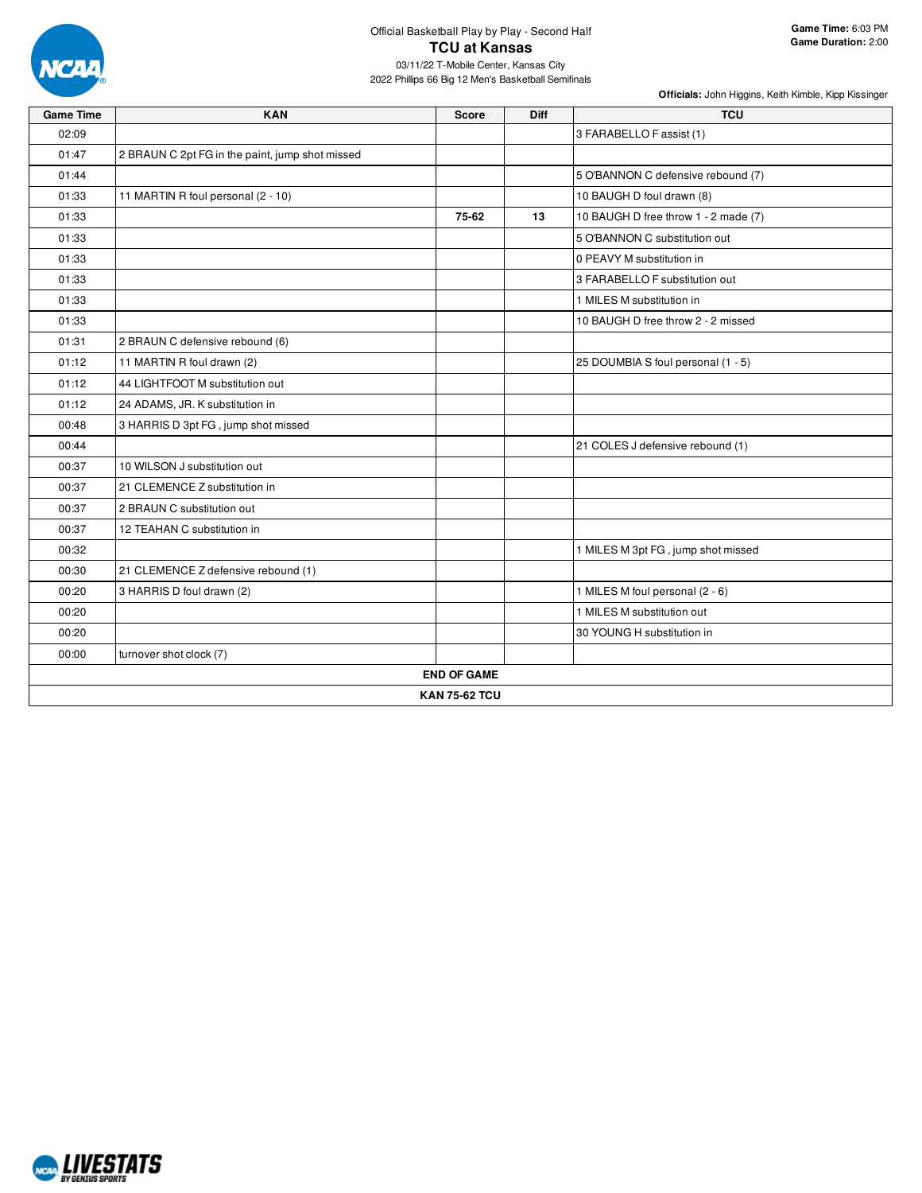

| <b>Game Time</b> | <b>KAN</b>                                      | <b>Score</b>         | <b>Diff</b> | <b>TCU</b>                           |
|------------------|-------------------------------------------------|----------------------|-------------|--------------------------------------|
| 02:09            |                                                 |                      |             | 3 FARABELLO F assist (1)             |
| 01:47            | 2 BRAUN C 2pt FG in the paint, jump shot missed |                      |             |                                      |
| 01:44            |                                                 |                      |             | 5 O'BANNON C defensive rebound (7)   |
| 01:33            | 11 MARTIN R foul personal (2 - 10)              |                      |             | 10 BAUGH D foul drawn (8)            |
| 01:33            |                                                 | 75-62                | 13          | 10 BAUGH D free throw 1 - 2 made (7) |
| 01:33            |                                                 |                      |             | 5 O'BANNON C substitution out        |
| 01:33            |                                                 |                      |             | 0 PEAVY M substitution in            |
| 01:33            |                                                 |                      |             | 3 FARABELLO F substitution out       |
| 01:33            |                                                 |                      |             | 1 MILES M substitution in            |
| 01:33            |                                                 |                      |             | 10 BAUGH D free throw 2 - 2 missed   |
| 01:31            | 2 BRAUN C defensive rebound (6)                 |                      |             |                                      |
| 01:12            | 11 MARTIN R foul drawn (2)                      |                      |             | 25 DOUMBIA S foul personal (1 - 5)   |
| 01:12            | 44 LIGHTFOOT M substitution out                 |                      |             |                                      |
| 01:12            | 24 ADAMS, JR. K substitution in                 |                      |             |                                      |
| 00:48            | 3 HARRIS D 3pt FG, jump shot missed             |                      |             |                                      |
| 00:44            |                                                 |                      |             | 21 COLES J defensive rebound (1)     |
| 00:37            | 10 WILSON J substitution out                    |                      |             |                                      |
| 00:37            | 21 CLEMENCE Z substitution in                   |                      |             |                                      |
| 00:37            | 2 BRAUN C substitution out                      |                      |             |                                      |
| 00:37            | 12 TEAHAN C substitution in                     |                      |             |                                      |
| 00:32            |                                                 |                      |             | 1 MILES M 3pt FG, jump shot missed   |
| 00:30            | 21 CLEMENCE Z defensive rebound (1)             |                      |             |                                      |
| 00:20            | 3 HARRIS D foul drawn (2)                       |                      |             | 1 MILES M foul personal (2 - 6)      |
| 00:20            |                                                 |                      |             | 1 MILES M substitution out           |
| 00:20            |                                                 |                      |             | 30 YOUNG H substitution in           |
| 00:00            | turnover shot clock (7)                         |                      |             |                                      |
|                  |                                                 | <b>END OF GAME</b>   |             |                                      |
|                  |                                                 | <b>KAN 75-62 TCU</b> |             |                                      |

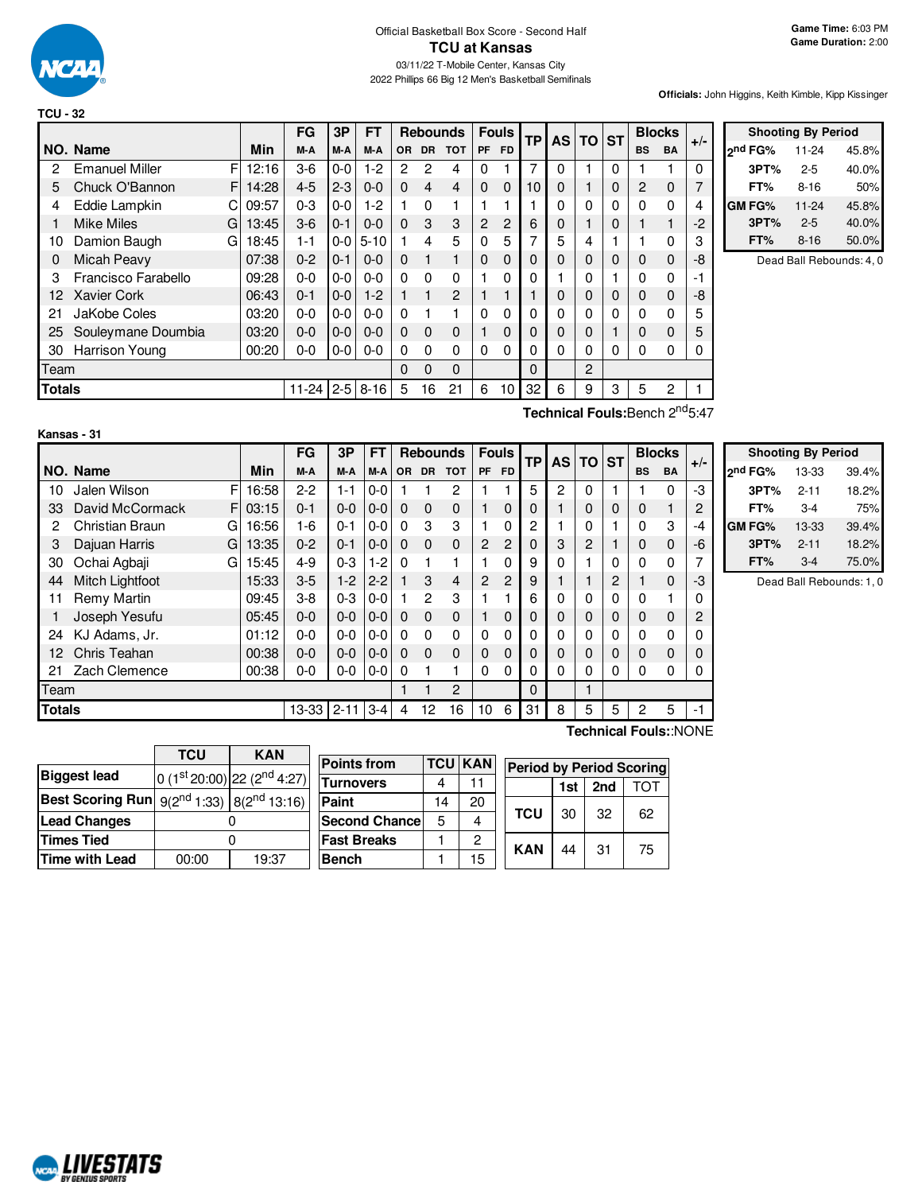

|        |                       |    |       | FG      | 3P       | <b>FT</b> |           |           | <b>Rebounds</b> | <b>Fouls</b>   |                | TP             | <b>AS</b> | $TO$ ST |   | <b>Blocks</b>  |           | $+/-$ |
|--------|-----------------------|----|-------|---------|----------|-----------|-----------|-----------|-----------------|----------------|----------------|----------------|-----------|---------|---|----------------|-----------|-------|
|        | NO. Name              |    | Min   | M-A     | M-A      | M-A       | <b>OR</b> | <b>DR</b> | <b>TOT</b>      | <b>PF</b>      | <b>FD</b>      |                |           |         |   | <b>BS</b>      | <b>BA</b> |       |
| 2      | <b>Emanuel Miller</b> | F  | 12:16 | $3-6$   | $0-0$    | $1-2$     | 2         | 2         | 4               | 0              |                | 7              | 0         |         | 0 |                |           | 0     |
| 5      | Chuck O'Bannon        | FI | 14:28 | $4 - 5$ | $2 - 3$  | $0 - 0$   | $\Omega$  | 4         | 4               | $\Omega$       | $\Omega$       | 10             | 0         |         | 0 | $\overline{c}$ | $\Omega$  | 7     |
| 4      | Eddie Lampkin         |    | 09:57 | $0 - 3$ | $0-0$    | $1-2$     |           | 0         |                 |                |                |                | ი         | 0       | 0 | $\Omega$       | 0         | 4     |
|        | <b>Mike Miles</b>     | G  | 13:45 | $3-6$   | $0 - 1$  | $0 - 0$   | $\Omega$  | 3         | 3               | $\overline{2}$ | $\overline{2}$ | 6              | 0         |         | 0 |                |           | $-2$  |
| 10     | Damion Baugh          | GI | 18:45 | 1-1     | $0-0$    | $5 - 10$  |           | 4         | 5               | $\Omega$       | 5              | 7              | 5         | 4       |   |                | 0         | 3     |
| 0      | Micah Peavy           |    | 07:38 | $0 - 2$ | $0 - 1$  | $0 - 0$   | $\Omega$  |           | 1               | $\mathbf 0$    | 0              | 0              | 0         | 0       | 0 | 0              | $\Omega$  | -8    |
| 3      | Francisco Farabello   |    | 09:28 | $0 - 0$ | $0 - 0$  | $0 - 0$   | $\Omega$  | $\Omega$  | $\Omega$        |                | 0              | 0              |           | 0       |   | 0              | $\Omega$  | $-1$  |
| 12     | <b>Xavier Cork</b>    |    | 06:43 | $0 - 1$ | $0 - 0$  | $1-2$     |           |           | 2               |                |                |                | 0         | 0       | 0 | $\Omega$       | $\Omega$  | -8    |
| 21     | JaKobe Coles          |    | 03:20 | $0 - 0$ | $0-0$    | $0 - 0$   | $\Omega$  |           |                 | $\Omega$       | 0              | 0              | 0         | 0       | 0 | 0              | 0         | 5     |
| 25     | Souleymane Doumbia    |    | 03:20 | $0 - 0$ | $0-0$    | $0 - 0$   | $\Omega$  | $\Omega$  | $\Omega$        |                | 0              | 0              | 0         | 0       |   | 0              | $\Omega$  | 5     |
| 30     | Harrison Young        |    | 00:20 | $0-0$   | $0-0$    | $0 - 0$   | $\Omega$  | $\Omega$  | 0               | 0              | 0              | O.             | ი         | 0       | 0 | 0              | 0         | 0     |
| Team   |                       |    |       |         | $\Omega$ | $\Omega$  | $\Omega$  |           |                 | 0              |                | $\overline{c}$ |           |         |   |                |           |       |
| Totals |                       |    |       | 11-24   | $2 - 5$  | $8 - 16$  | 5         | 16        | 21              | 6              | 10             | 32             | 6         | 9       | 3 | 5              | 2         |       |

|                     | <b>Shooting By Period</b> |       |
|---------------------|---------------------------|-------|
| <sub>2</sub> nd FG% | 11-24                     | 45.8% |
| 3PT%                | $2 - 5$                   | 40.0% |
| FT%                 | $8 - 16$                  | 50%   |
| GM FG%              | $11 - 24$                 | 45.8% |
| 3PT%                | $2 - 5$                   | 40.0% |
| FT%                 | $8 - 16$                  | 50.0% |

Dead Ball Rebounds: 4, 0

| Kansas - 31 |  |
|-------------|--|
|-------------|--|

**Technical Fouls:**Bench 2<sup>nd</sup>5:47

|               | Kansas - 31          |             |           |          |           |             |                |                 |                |             |             |           |                |              |             |                       |                |                |
|---------------|----------------------|-------------|-----------|----------|-----------|-------------|----------------|-----------------|----------------|-------------|-------------|-----------|----------------|--------------|-------------|-----------------------|----------------|----------------|
|               |                      |             | FG        | 3P       | <b>FT</b> |             |                | <b>Rebounds</b> | <b>Fouls</b>   |             | <b>TP</b>   | <b>AS</b> | <b>TO</b>      | <b>ST</b>    |             | <b>Blocks</b>         | $+/-$          |                |
|               | NO. Name             | Min         | M-A       | M-A      | M-A       | <b>OR</b>   |                | DR TOT          | PF             | <b>FD</b>   |             |           |                |              | <b>BS</b>   | <b>BA</b>             |                | 2 <sup>n</sup> |
| 10            | Jalen Wilson         | F<br>16:58  | $2 - 2$   | $1 - 1$  | $0-0$     |             |                | $\overline{c}$  |                |             | 5           | 2         | $\Omega$       |              |             | $\Omega$              | -3             |                |
| 33            | David McCormack      | 03:15<br>FI | $0 - 1$   | $0 - 0$  | $0 - 0$   | $\mathbf 0$ | $\mathbf 0$    | $\mathbf 0$     |                | 0           | $\mathbf 0$ |           | 0              | 0            | $\mathbf 0$ |                       | $\overline{2}$ |                |
| 2             | Christian Braun<br>G | 16:56       | 1-6       | $0 - 1$  | $0 - 0$   | 0           | 3              | 3               |                | 0           | 2           |           | 0              |              | $\Omega$    | 3                     | $-4$           | GI             |
| 3             | Dajuan Harris        | 13:35<br>Gl | $0 - 2$   | $0 - 1$  | $0-0$     | $\Omega$    | $\Omega$       | $\mathbf{0}$    | $\overline{2}$ | 2           | $\Omega$    | 3         | $\overline{2}$ |              | 0           | $\Omega$              | -6             |                |
| 30            | Ochai Agbaji<br>G    | 15:45       | $4 - 9$   | $0 - 3$  | $1-2$     | 0           | 1              | 1               |                | 0           | 9           | 0         |                | 0            | $\Omega$    | 0                     | 7              |                |
| 44            | Mitch Lightfoot      | 15:33       | $3-5$     | $1-2$    | $2 - 2$   |             | 3              | $\overline{4}$  | $\overline{2}$ | 2           | 9           |           |                | 2            | 1           | $\Omega$              | -3             |                |
| 11            | Remy Martin          | 09:45       | $3-8$     | $0 - 3$  | $0-0$     |             | $\overline{2}$ | 3               |                | 1           | 6           | 0         | 0              | $\mathbf{0}$ | 0           |                       | 0              |                |
|               | Joseph Yesufu        | 05:45       | $0-0$     | $0 - 0$  | $0-0$     | $\Omega$    | $\Omega$       | $\mathbf 0$     |                | 0           | 0           | 0         | 0              | 0            | $\mathbf 0$ | $\Omega$              | 2              |                |
| 24            | KJ Adams, Jr.        | 01:12       | $0 - 0$   | $0-0$    | $0-0$     | 0           | 0              | 0               | $\Omega$       | $\Omega$    | 0           | 0         | 0              | 0            | 0           | 0                     | 0              |                |
| 12            | Chris Teahan         | 00:38       | $0 - 0$   | $0 - 0$  | $0-0$     | 0           | $\Omega$       | $\mathbf 0$     | $\mathbf 0$    | $\mathbf 0$ | 0           | 0         | 0              | 0            | $\mathbf 0$ | $\Omega$              | 0              |                |
| 21            | Zach Clemence        | 00:38       | $0 - 0$   | $0-0$    | $0-0$     | 0           | 1              | 1               | $\Omega$       | $\Omega$    | 0           | 0         | 0              | 0            | $\Omega$    | 0                     | 0              |                |
| Team          |                      |             |           |          |           |             |                | $\overline{2}$  |                |             | $\Omega$    |           |                |              |             |                       |                |                |
| <b>Totals</b> |                      |             | $13 - 33$ | $2 - 11$ | $3 - 4$   | 4           | 12             | 16              | 10             | 6           | 31          | 8         | 5              | 5            | 2           | 5                     | $-1$           |                |
|               |                      |             |           |          |           |             |                |                 |                |             |             |           |                |              |             | Technical Fouls::NONE |                |                |

|         | <b>Shooting By Period</b> |       |
|---------|---------------------------|-------|
| 2nd FG% | 13-33                     | 39.4% |
| 3PT%    | $2 - 11$                  | 18.2% |
| FT%     | $3-4$                     | 75%   |
| GM FG%  | 13-33                     | 39.4% |
| 3PT%    | $2 - 11$                  | 18.2% |
| FT%     | $3-4$                     | 75.0% |

Dead Ball Rebounds: 1, 0

|                                                             | TCU   | KAN                             |  |  |  |  |
|-------------------------------------------------------------|-------|---------------------------------|--|--|--|--|
| <b>Biggest lead</b>                                         |       | 0 $(1st 20:00)$ 22 $(2nd 4:27)$ |  |  |  |  |
| <b>Best Scoring Run</b> $9(2^{nd} 1:33)$ $8(2^{nd} 1:3:16)$ |       |                                 |  |  |  |  |
| <b>Lead Changes</b>                                         |       |                                 |  |  |  |  |
| <b>Times Tied</b>                                           |       |                                 |  |  |  |  |
| <b>Time with Lead</b>                                       | 00:00 | 19:37                           |  |  |  |  |

**NORD LIVESTATS** 

| <b>Points from</b>    |    | <b>TCU KAN</b> | <b>Period by Period Scoring</b> |            |     |     |    |  |  |  |  |  |
|-----------------------|----|----------------|---------------------------------|------------|-----|-----|----|--|--|--|--|--|
| Turnovers             |    |                |                                 |            | 1st | 2nd |    |  |  |  |  |  |
| Paint                 | 14 | 20             |                                 |            |     |     |    |  |  |  |  |  |
| <b>Second Chancel</b> | 5  |                |                                 | <b>TCU</b> | 30  | 32  | 62 |  |  |  |  |  |
| <b>Fast Breaks</b>    |    | 2              |                                 | <b>KAN</b> | 44  | 31  | 75 |  |  |  |  |  |
| <b>Bench</b>          |    | 15             |                                 |            |     |     |    |  |  |  |  |  |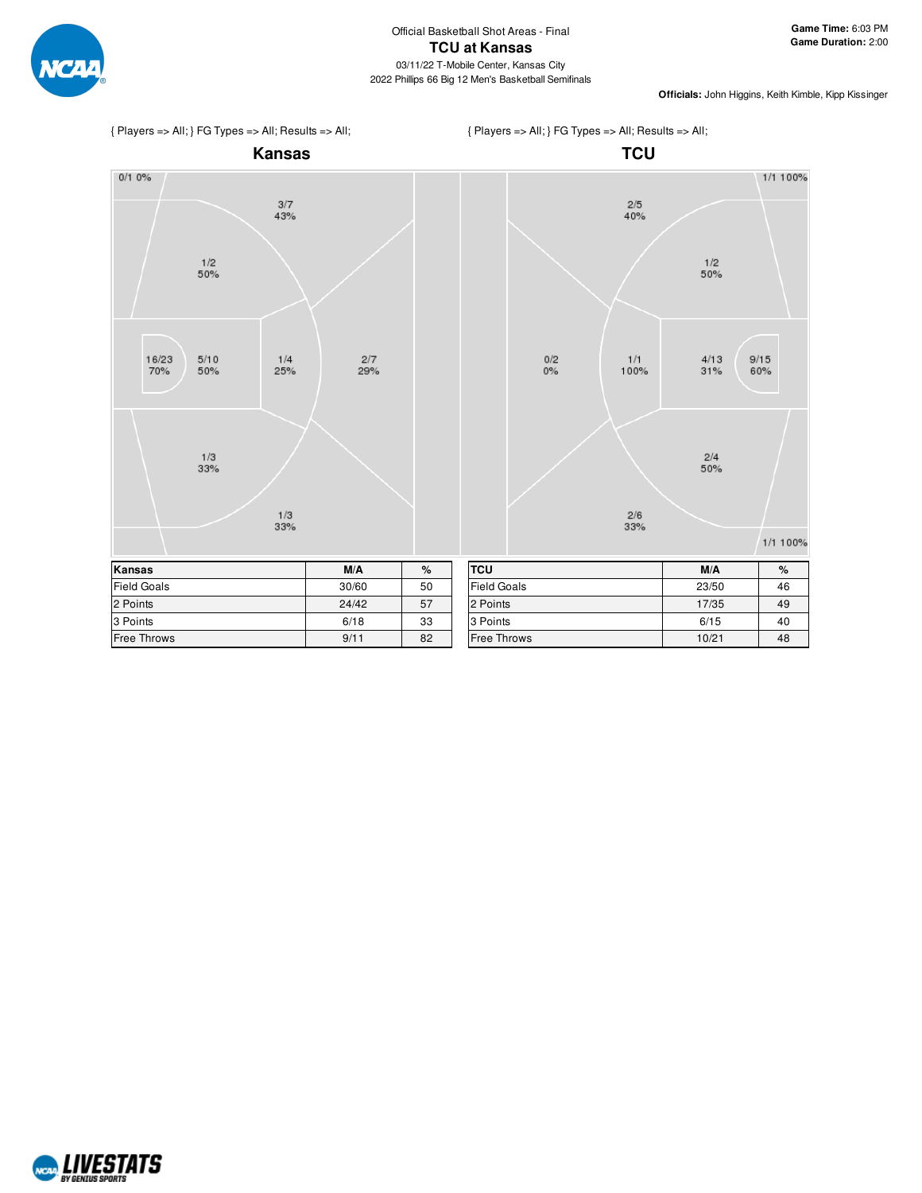



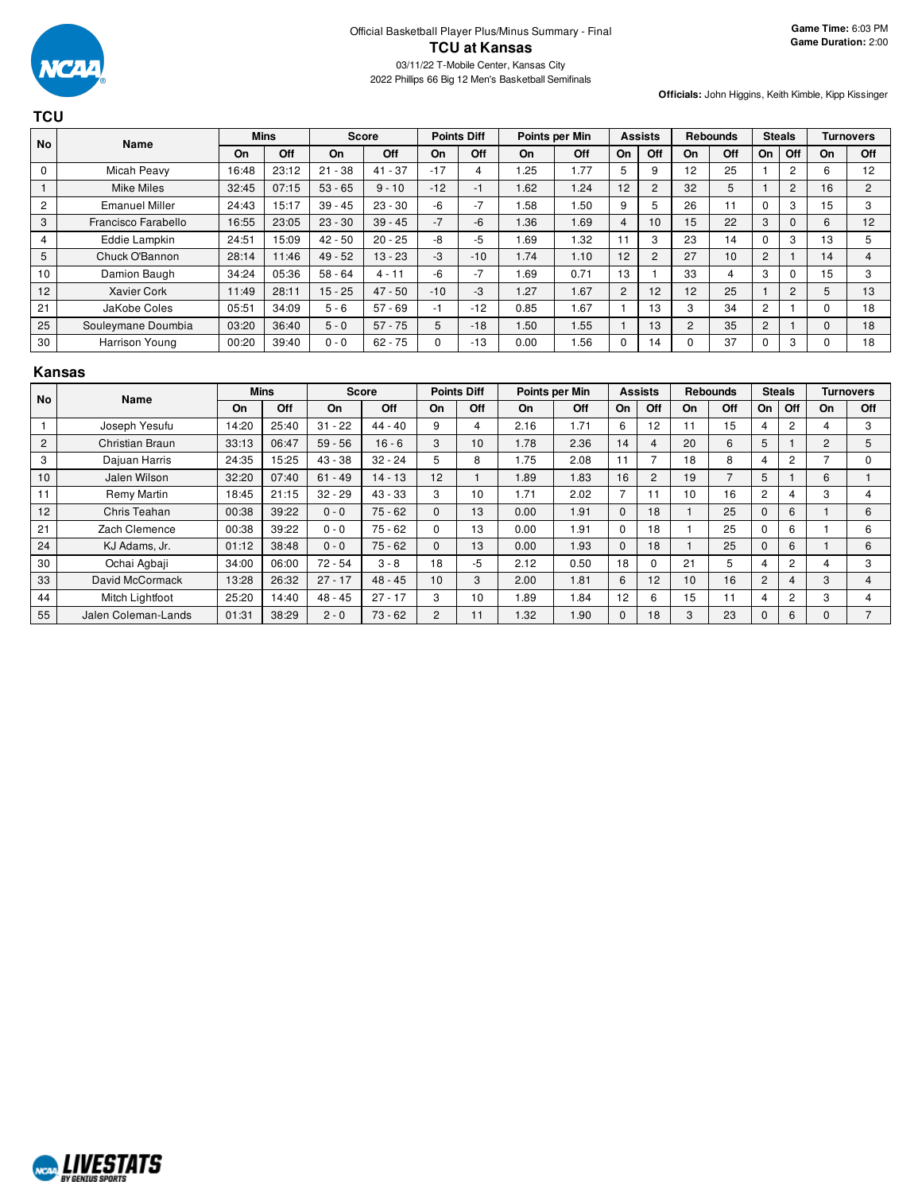

**TCU**

**Officials:** John Higgins, Keith Kimble, Kipp Kissinger

| <b>No</b>   | Name                  |       | <b>Mins</b> |             | Score     |       | <b>Points Diff</b> |                  | Points per Min |                | <b>Assists</b> |    | <b>Rebounds</b> |                | <b>Steals</b> |    | <b>Turnovers</b> |
|-------------|-----------------------|-------|-------------|-------------|-----------|-------|--------------------|------------------|----------------|----------------|----------------|----|-----------------|----------------|---------------|----|------------------|
|             |                       | On    | Off         | On          | Off       | On    | Off                | On               | Off            | On             | Off            | On | Off             | On             | Off           | On | Off              |
| $\mathbf 0$ | Micah Peavy           | 16:48 | 23:12       | $-38$<br>21 | $41 - 37$ | $-17$ | 4                  | .25              | 1.77           | 5              | 9              | 12 | 25              |                | 2             | 6  | 12               |
|             | <b>Mike Miles</b>     | 32:45 | 07:15       | $53 - 65$   | $9 - 10$  | $-12$ | -1                 | 1.62             | 1.24           | 12             | $\overline{2}$ | 32 | 5               |                | 2             | 16 | 2                |
| 2           | <b>Emanuel Miller</b> | 24:43 | 15:17       | $39 - 45$   | $23 - 30$ | -6    | $-7$               | .58              | .50            | 9              | 5              | 26 |                 |                | 3             | 15 | 3                |
| 3           | Francisco Farabello   | 16:55 | 23:05       | $23 - 30$   | $39 - 45$ | $-7$  | -6                 | 1.36             | 1.69           | 4              | 10             | 15 | 22              | З              | $\Omega$      | 6  | 12               |
| 4           | Eddie Lampkin         | 24:51 | 15:09       | $42 - 50$   | $20 - 25$ | -8    | -5                 | 1.69             | 1.32           |                | 3              | 23 | 14              |                | 3             | 13 | 5                |
| 5           | Chuck O'Bannon        | 28:14 | 11:46       | $49 - 52$   | $13 - 23$ | -3    | $-10$              | 1.74             | 1.10           | 12             | $\overline{2}$ | 27 | 10              | $\overline{2}$ |               | 14 |                  |
| 10          | Damion Baugh          | 34:24 | 05:36       | $58 - 64$   | 4 - 11    | -6    | $-7$               | .69              | 0.71           | 13             |                | 33 |                 | 3              |               | 15 | 3                |
| 12          | <b>Xavier Cork</b>    | 11:49 | 28:11       | $15 - 25$   | $47 - 50$ | $-10$ | $-3$               | .27              | 1.67           | $\overline{2}$ | 12             | 12 | 25              |                | 2             | 5  | 13               |
| 21          | JaKobe Coles          | 05:51 | 34:09       | $5 - 6$     | $57 - 69$ | -1    | $-12$              | 0.85             | 1.67           |                | 13             | 3  | 34              | 2              |               |    | 18               |
| 25          | Souleymane Doumbia    | 03:20 | 36:40       | $5 - 0$     | $57 - 75$ | 5     | $-18$              | .50 <sub>1</sub> | 1.55           |                | 13             | 2  | 35              | 2              |               | 0  | 18               |
| 30          | Harrison Young        | 00:20 | 39:40       | $0 - 0$     | $62 - 75$ |       | $-13$              | 0.00             | 1.56           | $\Omega$       | 14             | 0  | 37              |                | 3             |    | 18               |

#### **Kansas**

| <b>No</b>      | Name                |       | <b>Mins</b> |           | <b>Score</b> |                | <b>Points Diff</b> | Points per Min |      |              | <b>Assists</b> |           | <b>Rebounds</b> |          | <b>Steals</b>  |                | <b>Turnovers</b> |
|----------------|---------------------|-------|-------------|-----------|--------------|----------------|--------------------|----------------|------|--------------|----------------|-----------|-----------------|----------|----------------|----------------|------------------|
|                |                     | On    | Off         | <b>On</b> | Off          | On             | Off                | On             | Off  | On           | Off            | <b>On</b> | Off             | On       | Off            | On             | Off              |
|                | Joseph Yesufu       | 14:20 | 25:40       | $31 - 22$ | $44 - 40$    | 9              | 4                  | 2.16           | 1.71 | 6            | 12             | 11        | 15              | 4        | 2              |                | 3                |
| $\overline{2}$ | Christian Braun     | 33:13 | 06:47       | $59 - 56$ | $16 - 6$     | 3              | 10                 | 1.78           | 2.36 | 14           | 4              | 20        | 6               | 5        |                | $\overline{2}$ | 5                |
| 3              | Dajuan Harris       | 24:35 | 15:25       | $43 - 38$ | $32 - 24$    | 5              | 8                  | .75            | 2.08 | 11           | 7              | 18        | 8               | 4        | 2              |                | $\Omega$         |
| 10             | Jalen Wilson        | 32:20 | 07:40       | $61 - 49$ | $14 - 13$    | 12             |                    | 1.89           | 1.83 | 16           | $\overline{c}$ | 19        | $\overline{ }$  | 5        |                | 6              |                  |
| 11             | Remy Martin         | 18:45 | 21:15       | $32 - 29$ | $43 - 33$    | 3              | 10                 | 1.71           | 2.02 | 7            | 11             | 10        | 16              | 2        | 4              | 3              | 4                |
| 12             | Chris Teahan        | 00:38 | 39:22       | $0 - 0$   | $75 - 62$    | $\Omega$       | 13                 | 0.00           | 1.91 | $\Omega$     | 18             |           | 25              | $\Omega$ | 6              |                | 6                |
| 21             | Zach Clemence       | 00:38 | 39:22       | $0 - 0$   | $75 - 62$    | 0              | 13                 | 0.00           | 1.91 | $\Omega$     | 18             |           | 25              | C        | 6              |                | 6                |
| 24             | KJ Adams, Jr.       | 01:12 | 38:48       | $0 - 0$   | $75 - 62$    | $\Omega$       | 13                 | 0.00           | 1.93 | $\Omega$     | 18             |           | 25              | C        | 6              |                | 6                |
| 30             | Ochai Agbaji        | 34:00 | 06:00       | $72 - 54$ | $3 - 8$      | 18             | -5                 | 2.12           | 0.50 | 18           | 0              | 21        | 5               | 4        | $\overline{2}$ |                | 3                |
| 33             | David McCormack     | 13:28 | 26:32       | $27 - 17$ | $48 - 45$    | 10             | 3                  | 2.00           | 1.81 | 6            | 12             | 10        | 16              | 2        | 4              | 3              | 4                |
| 44             | Mitch Lightfoot     | 25:20 | 14:40       | $48 - 45$ | $27 - 17$    | 3              | 10                 | 1.89           | 1.84 | 12           | 6              | 15        | 11              | 4        | $\overline{2}$ | 3              | 4                |
| 55             | Jalen Coleman-Lands | 01:31 | 38:29       | $2 - 0$   | $73 - 62$    | $\overline{c}$ | 11                 | 1.32           | 1.90 | $\mathbf{0}$ | 18             | 3         | 23              | 0        | 6              | 0              | $\overline{ }$   |

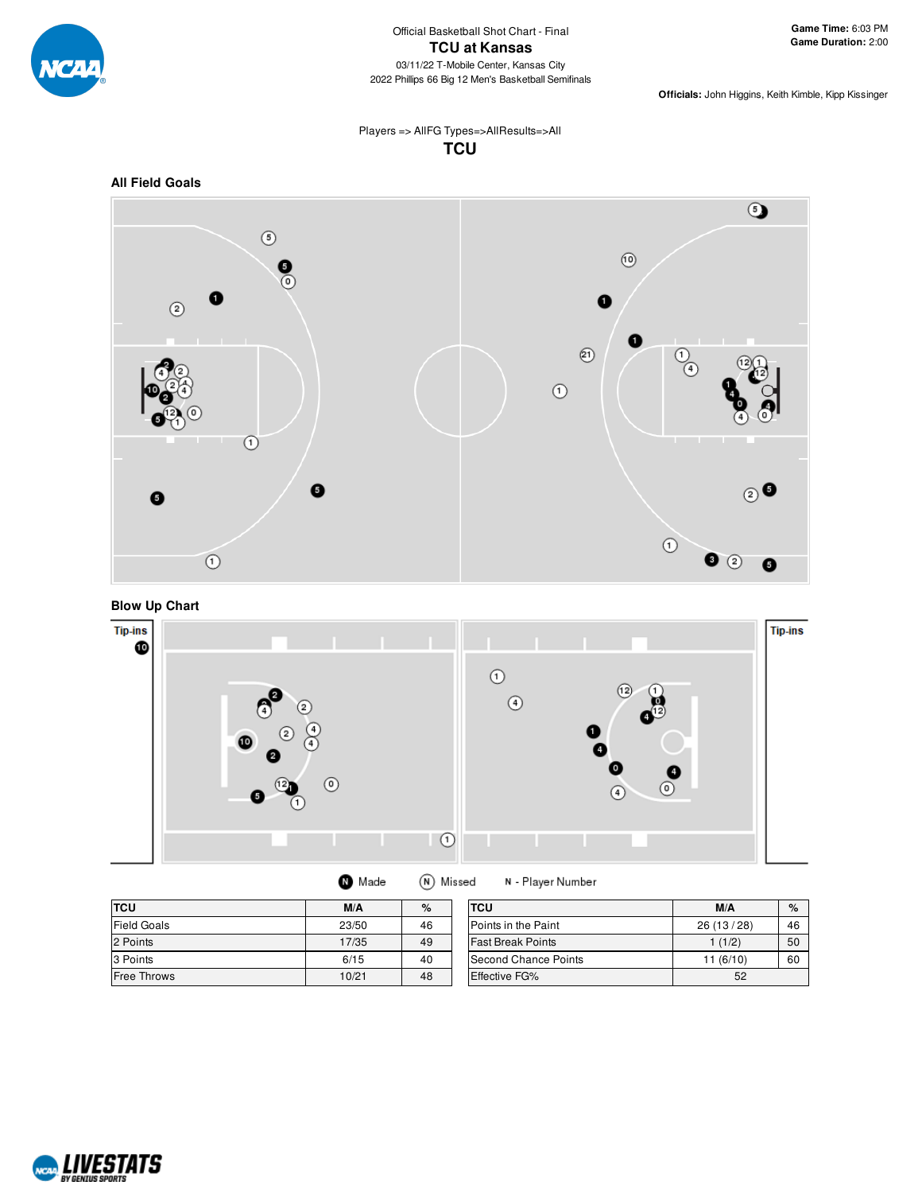

Players => AllFG Types=>AllResults=>All **TCU**









| <b>O</b> Made | (N) Missed |
|---------------|------------|
|---------------|------------|

N - Player Number

| <b>TCU</b>         | M/A   | %  | <b>TCU</b>               | M/A        | $\%$ |
|--------------------|-------|----|--------------------------|------------|------|
| <b>Field Goals</b> | 23/50 | 46 | Points in the Paint      | 26 (13/28) | 46   |
| 2 Points           | 17/35 | 49 | <b>Fast Break Points</b> | 1(1/2)     | 50   |
| 3 Points           | 6/15  | 40 | Second Chance Points     | 11 (6/10)  | 60   |
| <b>Free Throws</b> | 10/21 | 48 | Effective FG%            | 52         |      |

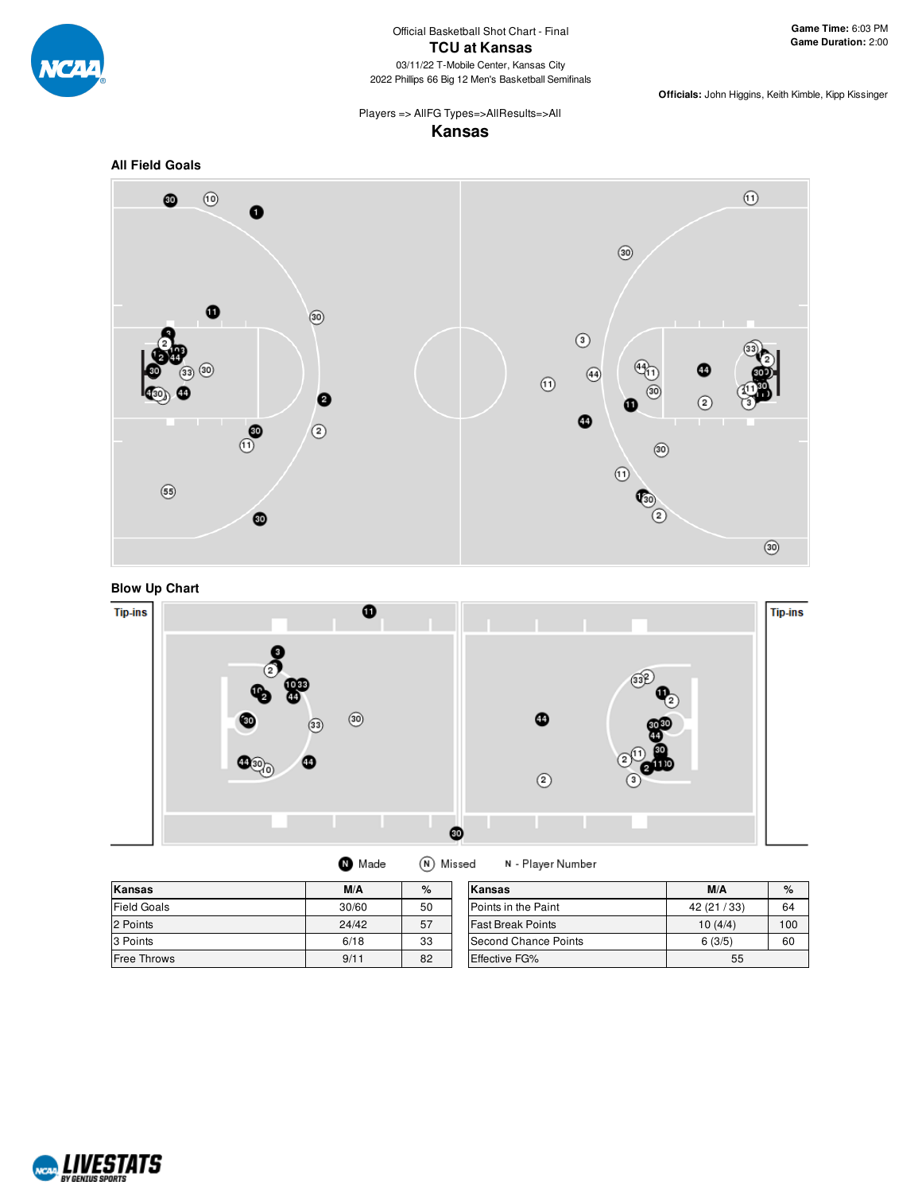

# Players => AllFG Types=>AllResults=>All

### **Kansas**



#### **Blow Up Chart**



 $\bullet$  Made (N) Missed N - Player Number

| <b>Kansas</b>      | M/A   | $\%$ | Kansas                      | M/A          | $\%$ |
|--------------------|-------|------|-----------------------------|--------------|------|
| <b>Field Goals</b> | 30/60 | 50   | <b>IPoints in the Paint</b> | 42 (21 / 33) | 64   |
| 2 Points           | 24/42 | 57   | <b>Fast Break Points</b>    | 10(4/4)      | 100  |
| 3 Points           | 6/18  | 33   | Second Chance Points        | 6(3/5)       | 60   |
| <b>Free Throws</b> | 9/11  | 82   | Effective FG%               | 55           |      |

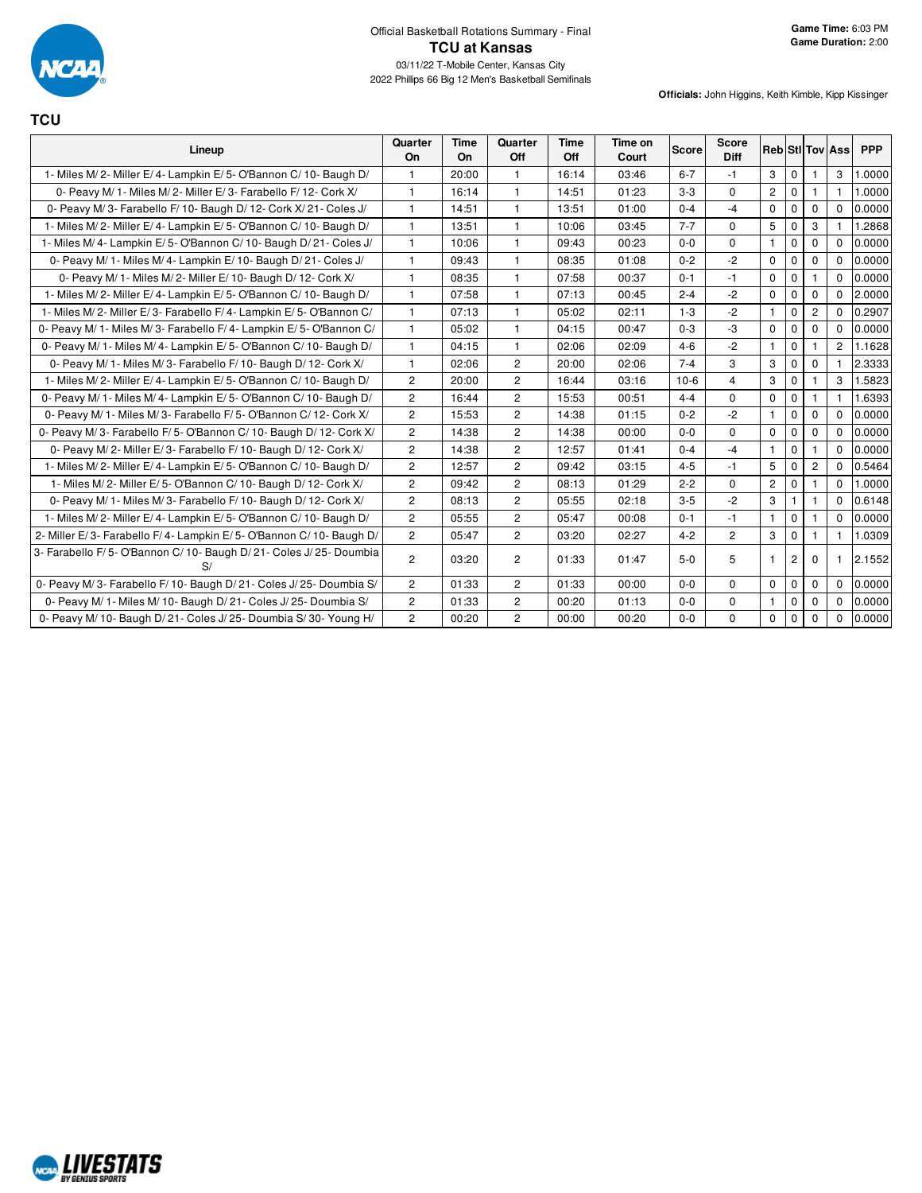

**TCU**

| Lineup                                                                 | Quarter<br>On  | <b>Time</b><br><b>On</b> | Quarter<br>Off        | Time<br>Off | Time on<br>Court | Score   | <b>Score</b><br><b>Diff</b> |                |                |                | <b>Reb StI Tov Ass</b> | <b>PPP</b> |
|------------------------------------------------------------------------|----------------|--------------------------|-----------------------|-------------|------------------|---------|-----------------------------|----------------|----------------|----------------|------------------------|------------|
| 1- Miles M/2- Miller E/4- Lampkin E/5- O'Bannon C/10- Baugh D/         | $\mathbf{1}$   | 20:00                    | $\mathbf{1}$          | 16:14       | 03:46            | $6 - 7$ | $-1$                        | 3              | $\mathbf 0$    | 1              | 3                      | 1.0000     |
| 0- Peavy M/ 1- Miles M/ 2- Miller E/ 3- Farabello F/ 12- Cork X/       | $\mathbf{1}$   | 16:14                    | $\mathbf{1}$          | 14:51       | 01:23            | $3-3$   | $\mathbf 0$                 | $\overline{2}$ | $\mathbf 0$    | 1              |                        | 1.0000     |
| 0- Peavy M/3- Farabello F/10- Baugh D/12- Cork X/21- Coles J/          | $\mathbf{1}$   | 14:51                    | $\mathbf{1}$          | 13:51       | 01:00            | $0 - 4$ | $-4$                        | 0              | $\mathbf 0$    | 0              | $\Omega$               | 0.0000     |
| 1- Miles M/2- Miller E/4- Lampkin E/5- O'Bannon C/10- Baugh D/         | $\mathbf{1}$   | 13:51                    | $\mathbf{1}$          | 10:06       | 03:45            | $7 - 7$ | $\Omega$                    | 5              | $\mathbf 0$    | 3              |                        | 1.2868     |
| 1- Miles M/4- Lampkin E/5- O'Bannon C/10- Baugh D/21- Coles J/         | $\mathbf{1}$   | 10:06                    | 1                     | 09:43       | 00:23            | $0-0$   | $\Omega$                    | $\mathbf{1}$   | $\Omega$       | $\Omega$       | $\Omega$               | 0.0000     |
| 0- Peavy M/ 1- Miles M/ 4- Lampkin E/ 10- Baugh D/ 21- Coles J/        | $\mathbf{1}$   | 09:43                    | $\mathbf{1}$          | 08:35       | 01:08            | $0 - 2$ | $-2$                        | $\mathbf 0$    | $\mathbf 0$    | $\mathbf 0$    | $\Omega$               | 0.0000     |
| 0- Peavy M/ 1- Miles M/ 2- Miller E/ 10- Baugh D/ 12- Cork X/          | $\mathbf{1}$   | 08:35                    | $\mathbf{1}$          | 07:58       | 00:37            | $0 - 1$ | $-1$                        | $\mathbf 0$    | $\mathbf 0$    |                | $\Omega$               | 0.0000     |
| 1- Miles M/2- Miller E/4- Lampkin E/5- O'Bannon C/10- Baugh D/         | $\mathbf{1}$   | 07:58                    | $\mathbf{1}$          | 07:13       | 00:45            | $2 - 4$ | $-2$                        | 0              | $\mathbf 0$    | $\Omega$       | $\Omega$               | 2.0000     |
| 1- Miles M/2- Miller E/3- Farabello F/4- Lampkin E/5- O'Bannon C/      | $\mathbf{1}$   | 07:13                    | $\mathbf{1}$          | 05:02       | 02:11            | $1 - 3$ | $-2$                        | $\mathbf{1}$   | $\mathbf 0$    | 2              | $\Omega$               | 0.2907     |
| 0- Peavy M/ 1- Miles M/ 3- Farabello F/ 4- Lampkin E/ 5- O'Bannon C/   | $\mathbf{1}$   | 05:02                    | $\mathbf{1}$          | 04:15       | 00:47            | $0 - 3$ | -3                          | $\mathbf 0$    | $\mathbf 0$    | $\Omega$       | $\Omega$               | 0.0000     |
| 0- Peavy M/ 1- Miles M/ 4- Lampkin E/ 5- O'Bannon C/ 10- Baugh D/      | $\mathbf{1}$   | 04:15                    | $\mathbf{1}$          | 02:06       | 02:09            | $4 - 6$ | $-2$                        | $\mathbf{1}$   | $\mathbf 0$    |                | $\overline{2}$         | 1.1628     |
| 0- Peavy M/ 1- Miles M/ 3- Farabello F/ 10- Baugh D/ 12- Cork X/       | $\mathbf{1}$   | 02:06                    | 2                     | 20:00       | 02:06            | $7 - 4$ | 3                           | 3              | $\mathbf 0$    | 0              |                        | 2.3333     |
| 1- Miles M/2- Miller E/4- Lampkin E/5- O'Bannon C/10- Baugh D/         | $\overline{2}$ | 20:00                    | $\overline{2}$        | 16:44       | 03:16            | $10-6$  | $\overline{4}$              | 3              | $\mathbf 0$    |                | 3                      | 1.5823     |
| 0- Peavy M/ 1- Miles M/ 4- Lampkin E/ 5- O'Bannon C/ 10- Baugh D/      | $\mathbf{2}$   | 16:44                    | $\mathbf{2}^{\prime}$ | 15:53       | 00:51            | $4 - 4$ | $\mathbf 0$                 | 0              | $\mathbf 0$    | 1              | 1                      | 1.6393     |
| 0- Peavy M/ 1- Miles M/ 3- Farabello F/ 5- O'Bannon C/ 12- Cork X/     | $\overline{2}$ | 15:53                    | $\overline{2}$        | 14:38       | 01:15            | $0 - 2$ | $-2$                        | $\mathbf{1}$   | $\mathbf 0$    | $\Omega$       | $\Omega$               | 0.0000     |
| 0- Peavy M/3- Farabello F/5- O'Bannon C/10- Baugh D/12- Cork X/        | $\overline{2}$ | 14:38                    | $\overline{c}$        | 14:38       | 00:00            | $0 - 0$ | $\Omega$                    | $\mathbf 0$    | $\mathbf 0$    | $\mathbf 0$    | $\Omega$               | 0.0000     |
| 0- Peavy M/2- Miller E/3- Farabello F/10- Baugh D/12- Cork X/          | $\mathbf{2}$   | 14:38                    | $\overline{c}$        | 12:57       | 01:41            | $0 - 4$ | $-4$                        | $\mathbf{1}$   | $\Omega$       |                | $\Omega$               | 0.0000     |
| 1- Miles M/2- Miller E/4- Lampkin E/5- O'Bannon C/10- Baugh D/         | $\overline{2}$ | 12:57                    | $\overline{2}$        | 09:42       | 03:15            | $4 - 5$ | $-1$                        | 5              | $\mathbf 0$    | $\overline{2}$ | $\Omega$               | 0.5464     |
| 1- Miles M/2- Miller E/5- O'Bannon C/10- Baugh D/12- Cork X/           | 2              | 09:42                    | 2                     | 08:13       | 01:29            | $2 - 2$ | $\Omega$                    | $\mathbf{2}$   | $\mathbf 0$    |                | $\Omega$               | 1.0000     |
| 0- Peavy M/ 1- Miles M/ 3- Farabello F/ 10- Baugh D/ 12- Cork X/       | $\overline{2}$ | 08:13                    | $\overline{2}$        | 05:55       | 02:18            | $3-5$   | $-2$                        | 3              | $\mathbf{1}$   | 1              | $\Omega$               | 0.6148     |
| 1- Miles M/2- Miller E/4- Lampkin E/5- O'Bannon C/10- Baugh D/         | $\mathbf{2}$   | 05:55                    | $\overline{c}$        | 05:47       | 00:08            | $0 - 1$ | $-1$                        | $\mathbf{1}$   | $\mathbf 0$    |                | $\mathbf 0$            | 0.0000     |
| 2- Miller E/3- Farabello F/4- Lampkin E/5- O'Bannon C/10- Baugh D/     | $\overline{2}$ | 05:47                    | $\overline{c}$        | 03:20       | 02:27            | $4 - 2$ | $\overline{2}$              | 3              | $\Omega$       |                |                        | 1.0309     |
| 3- Farabello F/5- O'Bannon C/10- Baugh D/21- Coles J/25- Doumbia<br>S/ | $\overline{2}$ | 03:20                    | $\overline{2}$        | 01:33       | 01:47            | $5-0$   | 5                           | $\mathbf 1$    | $\overline{2}$ | 0              |                        | 2.1552     |
| 0- Peavy M/3- Farabello F/10- Baugh D/21- Coles J/25- Doumbia S/       | $\overline{2}$ | 01:33                    | $\overline{c}$        | 01:33       | 00:00            | $0-0$   | $\mathbf 0$                 | 0              | $\mathbf 0$    | 0              | $\mathbf 0$            | 0.0000     |
| 0- Peavy M/ 1- Miles M/ 10- Baugh D/ 21- Coles J/ 25- Doumbia S/       | $\mathbf{2}$   | 01:33                    | $\overline{c}$        | 00:20       | 01:13            | $0-0$   | $\mathbf 0$                 | $\mathbf{1}$   | $\mathbf 0$    | $\mathbf 0$    | $\Omega$               | 0.0000     |
| 0- Peavy M/ 10- Baugh D/ 21- Coles J/ 25- Doumbia S/ 30- Young H/      | $\overline{2}$ | 00:20                    | $\overline{2}$        | 00:00       | 00:20            | $0-0$   | $\Omega$                    | 0              | $\mathbf 0$    | $\Omega$       | $\Omega$               | 0.0000     |

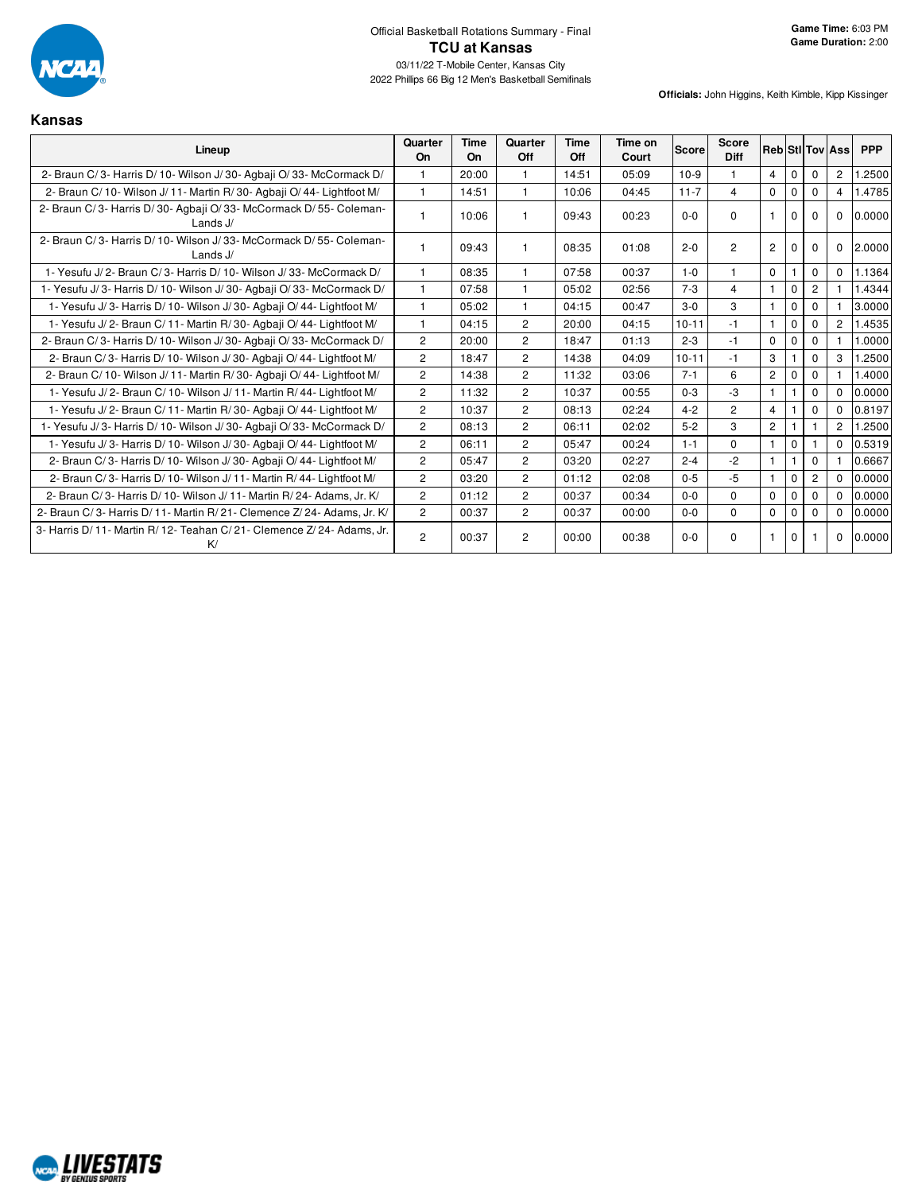

**Kansas**

| Lineup                                                                         | Quarter<br><b>On</b> | Time<br><b>On</b> | Quarter<br>Off | Time<br>Off | Time on<br>Court | <b>Score</b> | Score<br><b>Diff</b> |                |              |                | <b>Reb</b> StilTov Ass | <b>PPP</b> |
|--------------------------------------------------------------------------------|----------------------|-------------------|----------------|-------------|------------------|--------------|----------------------|----------------|--------------|----------------|------------------------|------------|
| 2- Braun C/3- Harris D/10- Wilson J/30- Agbaji O/33- McCormack D/              | 1                    | 20:00             | 1.             | 14:51       | 05:09            | $10-9$       |                      | $\overline{4}$ | $\mathbf 0$  | $\Omega$       | 2                      | .2500      |
| 2- Braun C/10- Wilson J/11- Martin R/30- Agbaii O/44- Lightfoot M/             | $\mathbf{1}$         | 14:51             | $\mathbf{1}$   | 10:06       | 04:45            | $11 - 7$     | $\overline{4}$       | $\Omega$       | $\Omega$     | $\Omega$       | $\overline{4}$         | 1.4785     |
| 2- Braun C/3- Harris D/30- Agbaji O/33- McCormack D/55- Coleman-<br>Lands $J/$ | 1                    | 10:06             |                | 09:43       | 00:23            | $0 - 0$      | $\Omega$             |                | $\Omega$     | $\Omega$       | $\Omega$               | 0.0000     |
| 2- Braun C/3- Harris D/10- Wilson J/33- McCormack D/55- Coleman-<br>Lands $J/$ | 1                    | 09:43             |                | 08:35       | 01:08            | $2 - 0$      | $\overline{2}$       | $\overline{2}$ | $\Omega$     | $\Omega$       | $\Omega$               | 2.0000     |
| 1- Yesufu J/2- Braun C/3- Harris D/10- Wilson J/33- McCormack D/               | $\mathbf{1}$         | 08:35             | 1              | 07:58       | 00:37            | $1 - 0$      |                      | $\Omega$       |              | $\Omega$       | $\Omega$               | 1.1364     |
| 1- Yesufu J/3- Harris D/10- Wilson J/30- Agbaji O/33- McCormack D/             | $\mathbf{1}$         | 07:58             | 1              | 05:02       | 02:56            | $7 - 3$      | $\overline{4}$       | $\mathbf 1$    | $\mathbf 0$  | $\overline{c}$ |                        | 1.4344     |
| 1- Yesufu J/3- Harris D/10- Wilson J/30- Agbaji O/44- Lightfoot M/             | $\mathbf{1}$         | 05:02             | $\mathbf{1}$   | 04:15       | 00:47            | $3-0$        | 3                    | $\mathbf{1}$   | $\mathbf 0$  | $\Omega$       |                        | 3.0000     |
| 1- Yesufu J/2- Braun C/11- Martin R/30- Agbaii O/44- Lightfoot M/              | $\mathbf{1}$         | 04:15             | $\overline{2}$ | 20:00       | 04:15            | $10 - 11$    | $-1$                 | $\mathbf{1}$   | $\mathbf 0$  | $\Omega$       | $\overline{2}$         | 1.4535     |
| 2- Braun C/3- Harris D/10- Wilson J/30- Agbaii O/33- McCormack D/              | $\overline{2}$       | 20:00             | $\overline{2}$ | 18:47       | 01:13            | $2 - 3$      | $-1$                 | $\Omega$       | $\Omega$     | $\Omega$       |                        | 1.0000     |
| 2- Braun C/3- Harris D/10- Wilson J/30- Agbaii O/44- Lightfoot M/              | $\overline{2}$       | 18:47             | $\overline{2}$ | 14:38       | 04:09            | $10 - 11$    | $-1$                 | 3              |              | $\Omega$       | 3                      | 1.2500     |
| 2- Braun C/10- Wilson J/11- Martin R/30- Agbaji O/44- Lightfoot M/             | $\mathbf{2}^{\circ}$ | 14:38             | $\overline{2}$ | 11:32       | 03:06            | $7 - 1$      | 6                    | $\overline{2}$ | $\mathbf 0$  | $\Omega$       |                        | 1.4000     |
| 1- Yesufu J/2- Braun C/10- Wilson J/11- Martin R/44- Lightfoot M/              | $\overline{2}$       | 11:32             | $\overline{2}$ | 10:37       | 00:55            | $0 - 3$      | $-3$                 | $\mathbf{1}$   |              | $\Omega$       | $\Omega$               | 0.0000     |
| 1- Yesufu J/2- Braun C/11- Martin R/30- Agbaji O/44- Lightfoot M/              | $\overline{2}$       | 10:37             | $\overline{2}$ | 08:13       | 02:24            | $4 - 2$      | $\overline{2}$       | $\overline{4}$ |              | $\mathbf 0$    | $\Omega$               | 0.8197     |
| 1- Yesufu J/3- Harris D/10- Wilson J/30- Agbaii O/33- McCormack D/             | $\overline{2}$       | 08:13             | $\overline{2}$ | 06:11       | 02:02            | $5 - 2$      | 3                    | $\overline{2}$ |              |                | 2                      | 1.2500     |
| 1- Yesufu J/3- Harris D/10- Wilson J/30- Agbaji O/44- Lightfoot M/             | $\overline{2}$       | 06:11             | $\overline{2}$ | 05:47       | 00:24            | $1 - 1$      | $\Omega$             | $\mathbf{1}$   | $\mathbf{0}$ |                | $\Omega$               | 0.5319     |
| 2- Braun C/3- Harris D/10- Wilson J/30- Agbaii O/44- Lightfoot M/              | $\overline{2}$       | 05:47             | $\overline{2}$ | 03:20       | 02:27            | $2 - 4$      | $-2$                 | $\mathbf{1}$   |              | $\Omega$       |                        | 0.6667     |
| 2- Braun C/3- Harris D/10- Wilson J/11- Martin R/44- Lightfoot M/              | $\overline{2}$       | 03:20             | $\overline{2}$ | 01:12       | 02:08            | $0 - 5$      | $-5$                 | $\overline{1}$ | $\mathbf 0$  | $\overline{2}$ | $\Omega$               | 0.0000     |
| 2- Braun C/3- Harris D/10- Wilson J/11- Martin R/24- Adams, Jr. K/             | $\overline{2}$       | 01:12             | $\overline{c}$ | 00:37       | 00:34            | $0 - 0$      | $\Omega$             | $\Omega$       | $\Omega$     | $\Omega$       | $\Omega$               | 0.0000     |
| 2- Braun C/3- Harris D/11- Martin R/21- Clemence Z/24- Adams. Jr. K/           | $\overline{2}$       | 00:37             | $\overline{2}$ | 00:37       | 00:00            | $0 - 0$      | $\Omega$             | $\mathbf 0$    | $\Omega$     | $\Omega$       | $\mathbf 0$            | 0.0000     |
| 3- Harris D/11- Martin R/12- Teahan C/21- Clemence Z/24- Adams, Jr.<br>K/      | $\overline{2}$       | 00:37             | 2              | 00:00       | 00:38            | $0 - 0$      | $\Omega$             |                | 0            |                | $\mathbf 0$            | 0.0000     |

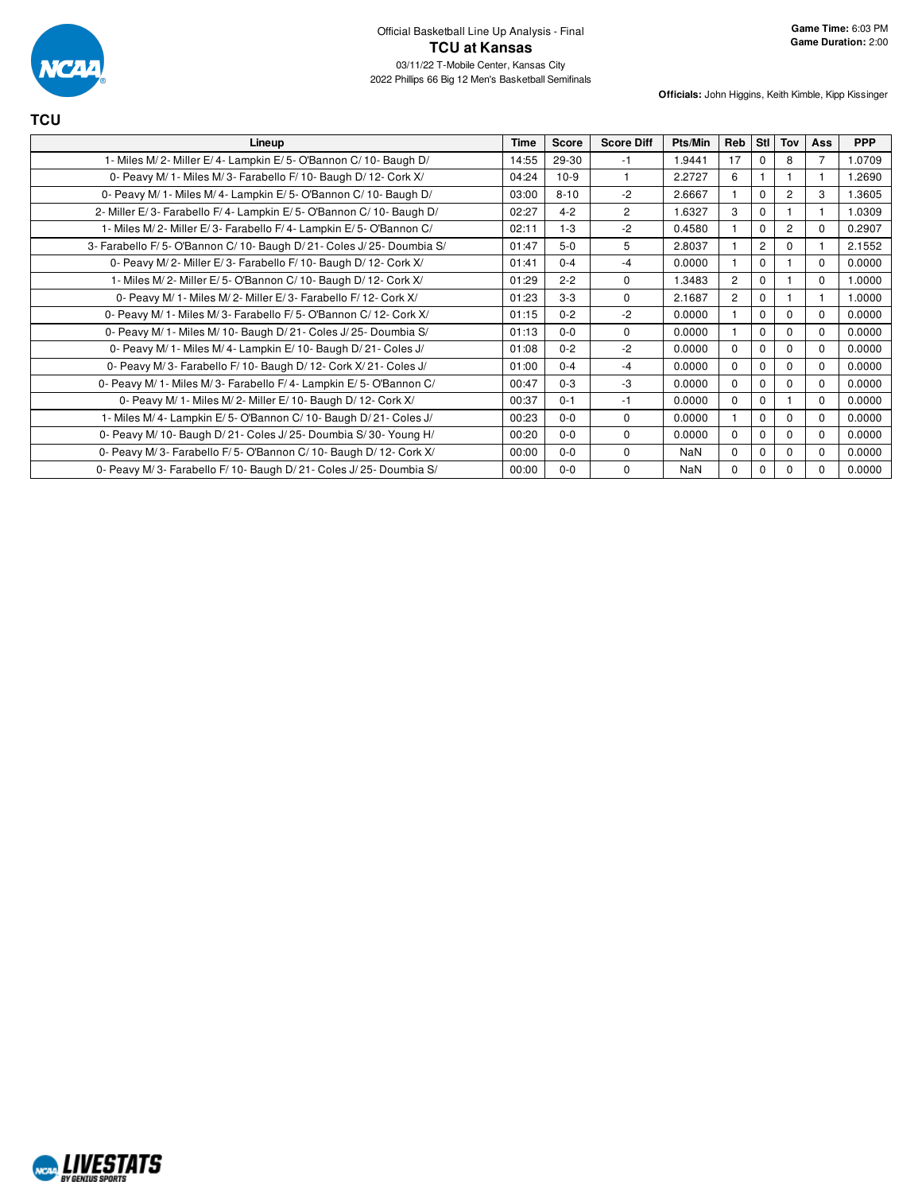

| <b>TCU</b>                                                           |             |              |                   |         |                |                |                |          |            |
|----------------------------------------------------------------------|-------------|--------------|-------------------|---------|----------------|----------------|----------------|----------|------------|
| Lineup                                                               | <b>Time</b> | <b>Score</b> | <b>Score Diff</b> | Pts/Min | Reb            | Stl            | Tov            | Ass      | <b>PPP</b> |
| 1- Miles M/2- Miller E/4- Lampkin E/5- O'Bannon C/10- Baugh D/       | 14:55       | 29-30        | $-1$              | 1.9441  | 17             | $\Omega$       | 8              | 7        | 1.0709     |
| 0- Peavy M/ 1- Miles M/ 3- Farabello F/ 10- Baugh D/ 12- Cork X/     | 04:24       | $10-9$       |                   | 2.2727  | 6              |                |                |          | 1.2690     |
| 0- Peavy M/ 1- Miles M/ 4- Lampkin E/ 5- O'Bannon C/ 10- Baugh D/    | 03:00       | $8 - 10$     | $-2$              | 2.6667  |                | $\Omega$       | $\overline{2}$ | 3        | 1.3605     |
| 2- Miller E/3- Farabello F/4- Lampkin E/5- O'Bannon C/10- Baugh D/   | 02:27       | $4 - 2$      | 2                 | 1.6327  | 3              | $\Omega$       |                |          | 1.0309     |
| 1- Miles M/2- Miller E/3- Farabello F/4- Lampkin E/5- O'Bannon C/    | 02:11       | $1 - 3$      | $-2$              | 0.4580  |                | $\Omega$       | $\overline{2}$ | $\Omega$ | 0.2907     |
| 3- Farabello F/5- O'Bannon C/10- Baugh D/21- Coles J/25- Doumbia S/  | 01:47       | $5-0$        | 5                 | 2.8037  |                | $\overline{c}$ | $\Omega$       |          | 2.1552     |
| 0- Peavy M/2- Miller E/3- Farabello F/10- Baugh D/12- Cork X/        | 01:41       | $0 - 4$      | $-4$              | 0.0000  |                | $\Omega$       |                | $\Omega$ | 0.0000     |
| 1- Miles M/2- Miller E/5- O'Bannon C/10- Baugh D/12- Cork X/         | 01:29       | $2 - 2$      | $\Omega$          | 1.3483  | $\overline{2}$ | $\Omega$       |                | $\Omega$ | 1.0000     |
| 0- Peavy M/ 1- Miles M/ 2- Miller E/ 3- Farabello F/ 12- Cork X/     | 01:23       | $3-3$        | $\mathbf 0$       | 2.1687  | $\overline{2}$ | $\Omega$       |                |          | 1.0000     |
| 0- Peavy M/ 1- Miles M/ 3- Farabello F/ 5- O'Bannon C/ 12- Cork X/   | 01:15       | $0 - 2$      | $-2$              | 0.0000  |                | $\Omega$       | $\Omega$       | $\Omega$ | 0.0000     |
| 0- Peavy M/ 1- Miles M/ 10- Baugh D/ 21- Coles J/ 25- Doumbia S/     | 01:13       | $0 - 0$      | $\Omega$          | 0.0000  |                | $\Omega$       | 0              | $\Omega$ | 0.0000     |
| 0- Peavy M/ 1- Miles M/ 4- Lampkin E/ 10- Baugh D/ 21- Coles J/      | 01:08       | $0 - 2$      | $-2$              | 0.0000  | 0              | $\Omega$       | $\Omega$       | $\Omega$ | 0.0000     |
| 0- Peavy M/3- Farabello F/10- Baugh D/12- Cork X/21- Coles J/        | 01:00       | $0 - 4$      | $-4$              | 0.0000  | 0              | $\Omega$       | $\Omega$       | $\Omega$ | 0.0000     |
| 0- Peavy M/ 1- Miles M/ 3- Farabello F/ 4- Lampkin E/ 5- O'Bannon C/ | 00:47       | $0 - 3$      | -3                | 0.0000  | 0              | $\Omega$       | $\Omega$       | $\Omega$ | 0.0000     |
| 0- Peavy M/ 1- Miles M/ 2- Miller E/ 10- Baugh D/ 12- Cork X/        | 00:37       | $0 - 1$      | -1                | 0.0000  | 0              | $\Omega$       |                | $\Omega$ | 0.0000     |
| 1- Miles M/4- Lampkin E/5- O'Bannon C/10- Baugh D/21- Coles J/       | 00:23       | $0-0$        | $\Omega$          | 0.0000  |                | $\Omega$       | $\Omega$       | $\Omega$ | 0.0000     |
| 0- Peavy M/ 10- Baugh D/ 21- Coles J/ 25- Doumbia S/ 30- Young H/    | 00:20       | $0 - 0$      | $\mathbf 0$       | 0.0000  | $\Omega$       | $\Omega$       | $\Omega$       | $\Omega$ | 0.0000     |
| 0- Peavy M/3- Farabello F/5- O'Bannon C/10- Baugh D/12- Cork X/      | 00:00       | $0 - 0$      | $\Omega$          | NaN     | $\Omega$       | $\Omega$       | 0              | $\Omega$ | 0.0000     |
| 0- Peavy M/3- Farabello F/10- Baugh D/21- Coles J/25- Doumbia S/     | 00:00       | $0 - 0$      | $\mathbf 0$       | NaN     | 0              | $\mathbf 0$    | $\Omega$       | $\Omega$ | 0.0000     |